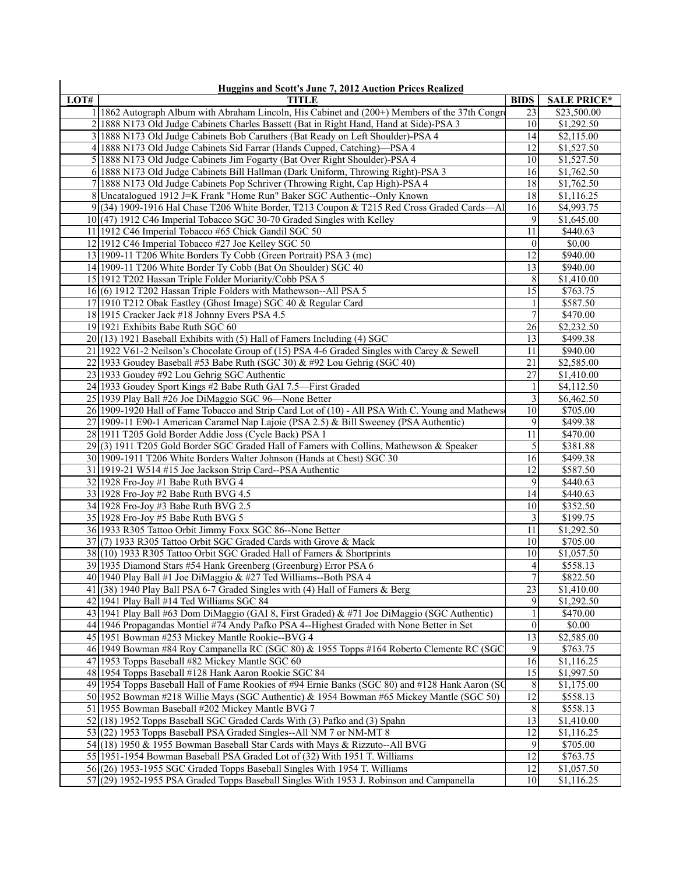| LOT# | <b>TITLE</b>                                                                                     | <b>BIDS</b>     | <b>SALE PRICE*</b>       |
|------|--------------------------------------------------------------------------------------------------|-----------------|--------------------------|
|      | 1 1862 Autograph Album with Abraham Lincoln, His Cabinet and (200+) Members of the 37th Congre   | 23              | \$23,500.00              |
|      | 2 1888 N173 Old Judge Cabinets Charles Bassett (Bat in Right Hand, Hand at Side)-PSA 3           | 10              | \$1,292.50               |
|      | 3 1888 N173 Old Judge Cabinets Bob Caruthers (Bat Ready on Left Shoulder)-PSA 4                  | 14              | \$2,115.00               |
|      | 4 1888 N173 Old Judge Cabinets Sid Farrar (Hands Cupped, Catching)—PSA 4                         | 12              | \$1,527.50               |
|      | 5 1888 N173 Old Judge Cabinets Jim Fogarty (Bat Over Right Shoulder)-PSA 4                       | 10              | \$1,527.50               |
|      | 6 1888 N173 Old Judge Cabinets Bill Hallman (Dark Uniform, Throwing Right)-PSA 3                 | 16              | \$1,762.50               |
|      | 7 1888 N173 Old Judge Cabinets Pop Schriver (Throwing Right, Cap High)-PSA 4                     | 18              |                          |
|      | 8 Uncatalogued 1912 J=K Frank "Home Run" Baker SGC Authentic--Only Known                         | 18              | \$1,762.50               |
|      |                                                                                                  | 16              | \$1,116.25<br>\$4,993.75 |
|      | $9(34)$ 1909-1916 Hal Chase T206 White Border, T213 Coupon & T215 Red Cross Graded Cards—Al      | 9               | \$1,645.00               |
|      | 10 (47) 1912 C46 Imperial Tobacco SGC 30-70 Graded Singles with Kelley                           |                 | \$440.63                 |
|      | 11 1912 C46 Imperial Tobacco #65 Chick Gandil SGC 50                                             | 11              |                          |
|      | 12 1912 C46 Imperial Tobacco #27 Joe Kelley SGC 50                                               | $\theta$        | \$0.00                   |
|      | 13 1909-11 T206 White Borders Ty Cobb (Green Portrait) PSA 3 (mc)                                | 12              | \$940.00                 |
|      | 14 1909-11 T206 White Border Ty Cobb (Bat On Shoulder) SGC 40                                    | 13              | \$940.00                 |
|      | 15 1912 T202 Hassan Triple Folder Moriarity/Cobb PSA 5                                           | 8               | \$1,410.00               |
|      | 16(6) 1912 T202 Hassan Triple Folders with Mathewson--All PSA 5                                  | 15              | \$763.75                 |
|      | 17 1910 T212 Obak Eastley (Ghost Image) SGC 40 & Regular Card                                    |                 | \$587.50                 |
|      | 18 1915 Cracker Jack #18 Johnny Evers PSA 4.5                                                    | $\overline{7}$  | \$470.00                 |
|      | 19 1921 Exhibits Babe Ruth SGC 60                                                                | 26              | \$2,232.50               |
|      | $20(13)$ 1921 Baseball Exhibits with (5) Hall of Famers Including (4) SGC                        | 13              | \$499.38                 |
|      | 21 1922 V61-2 Neilson's Chocolate Group of (15) PSA 4-6 Graded Singles with Carey & Sewell       | 11              | \$940.00                 |
|      | 22 1933 Goudey Baseball #53 Babe Ruth (SGC 30) & #92 Lou Gehrig (SGC 40)                         | 21              | \$2,585.00               |
|      | 23 1933 Goudey #92 Lou Gehrig SGC Authentic                                                      | 27              | \$1,410.00               |
|      | 24 1933 Goudey Sport Kings #2 Babe Ruth GAI 7.5—First Graded                                     |                 | \$4,112.50               |
|      | 25 1939 Play Ball #26 Joe DiMaggio SGC 96-None Better                                            | 3               | \$6,462.50               |
|      | 26 1909-1920 Hall of Fame Tobacco and Strip Card Lot of (10) - All PSA With C. Young and Mathews | 10              | \$705.00                 |
|      | 27 1909-11 E90-1 American Caramel Nap Lajoie (PSA 2.5) & Bill Sweeney (PSA Authentic)            | 9               | \$499.38                 |
|      | 28 1911 T205 Gold Border Addie Joss (Cycle Back) PSA 1                                           | 11              | \$470.00                 |
|      | 29(3) 1911 T205 Gold Border SGC Graded Hall of Famers with Collins, Mathewson & Speaker          | 5               | \$381.88                 |
|      | 30 1909-1911 T206 White Borders Walter Johnson (Hands at Chest) SGC 30                           | 16              | \$499.38                 |
|      | 31 1919-21 W514 #15 Joe Jackson Strip Card--PSA Authentic                                        | 12              | \$587.50                 |
|      | 32 1928 Fro-Joy #1 Babe Ruth BVG 4                                                               | 9               | \$440.63                 |
|      | 33 1928 Fro-Joy #2 Babe Ruth BVG 4.5                                                             | 14              | \$440.63                 |
|      | 34 1928 Fro-Joy #3 Babe Ruth BVG 2.5                                                             | 10              | \$352.50                 |
|      | 35 1928 Fro-Joy #5 Babe Ruth BVG 5                                                               | 3               | \$199.75                 |
|      | 36 1933 R305 Tattoo Orbit Jimmy Foxx SGC 86--None Better                                         | 11              | \$1,292.50               |
|      | 37 (7) 1933 R305 Tattoo Orbit SGC Graded Cards with Grove & Mack                                 | 10              | \$705.00                 |
|      | 38 (10) 1933 R305 Tattoo Orbit SGC Graded Hall of Famers & Shortprints                           | 10              | \$1,057.50               |
|      | 39 1935 Diamond Stars #54 Hank Greenberg (Greenburg) Error PSA 6                                 | $\overline{4}$  | \$558.13                 |
|      | 40 1940 Play Ball #1 Joe DiMaggio & #27 Ted Williams--Both PSA 4                                 | $\overline{7}$  | 8822.50                  |
|      | $41(38)$ 1940 Play Ball PSA 6-7 Graded Singles with (4) Hall of Famers & Berg                    | 23              | \$1,410.00               |
|      | 42 1941 Play Ball #14 Ted Williams SGC 84                                                        | 9               | \$1,292.50               |
|      | 43 1941 Play Ball #63 Dom DiMaggio (GAI 8, First Graded) & #71 Joe DiMaggio (SGC Authentic)      |                 | \$470.00                 |
|      | 44 1946 Propagandas Montiel #74 Andy Pafko PSA 4--Highest Graded with None Better in Set         | $\theta$        | \$0.00                   |
|      | 45 1951 Bowman #253 Mickey Mantle Rookie--BVG 4                                                  | $\overline{13}$ | \$2,585.00               |
|      | 46 1949 Bowman #84 Roy Campanella RC (SGC 80) & 1955 Topps #164 Roberto Clemente RC (SGC         | 9               | \$763.75                 |
|      | 47 1953 Topps Baseball #82 Mickey Mantle SGC 60                                                  | 16              | \$1,116.25               |
|      | 48 1954 Topps Baseball #128 Hank Aaron Rookie SGC 84                                             | 15              | \$1,997.50               |
|      | 49 1954 Topps Baseball Hall of Fame Rookies of #94 Ernie Banks (SGC 80) and #128 Hank Aaron (SC  | 8               | \$1,175.00               |
|      | 50 1952 Bowman #218 Willie Mays (SGC Authentic) & 1954 Bowman #65 Mickey Mantle (SGC 50)         | $\overline{12}$ | \$558.13                 |
|      | 51 1955 Bowman Baseball #202 Mickey Mantle BVG 7                                                 | 8               | \$558.13                 |
|      | 52(18) 1952 Topps Baseball SGC Graded Cards With (3) Pafko and (3) Spahn                         | 13              | \$1,410.00               |
|      | 53 (22) 1953 Topps Baseball PSA Graded Singles--All NM 7 or NM-MT 8                              | 12              | \$1,116.25               |
|      | 54 (18) 1950 & 1955 Bowman Baseball Star Cards with Mays & Rizzuto--All BVG                      | 9               | \$705.00                 |
|      | 55 1951-1954 Bowman Baseball PSA Graded Lot of (32) With 1951 T. Williams                        | 12              | \$763.75                 |
|      | 56 (26) 1953-1955 SGC Graded Topps Baseball Singles With 1954 T. Williams                        | 12              | \$1,057.50               |
|      | $57(29)$ 1952-1955 PSA Graded Topps Baseball Singles With 1953 J. Robinson and Campanella        | 10              | \$1,116.25               |
|      |                                                                                                  |                 |                          |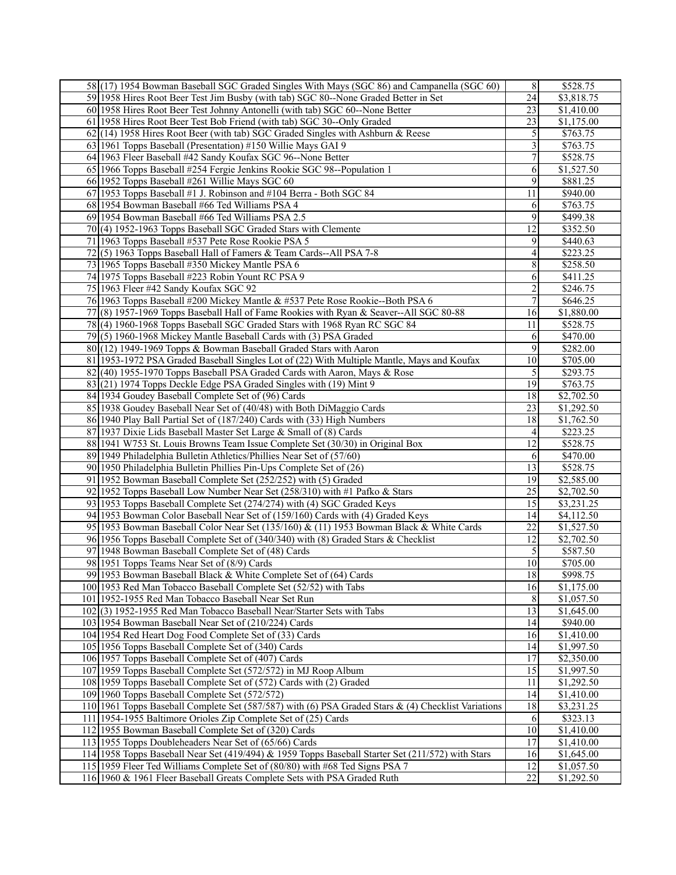| 58 (17) 1954 Bowman Baseball SGC Graded Singles With Mays (SGC 86) and Campanella (SGC 60)          | 8              | \$528.75   |
|-----------------------------------------------------------------------------------------------------|----------------|------------|
| 59 1958 Hires Root Beer Test Jim Busby (with tab) SGC 80--None Graded Better in Set                 | 24             | \$3,818.75 |
| 60 1958 Hires Root Beer Test Johnny Antonelli (with tab) SGC 60--None Better                        | 23             | \$1,410.00 |
| 61 1958 Hires Root Beer Test Bob Friend (with tab) SGC 30--Only Graded                              | 23             | \$1,175.00 |
| $62(14)$ 1958 Hires Root Beer (with tab) SGC Graded Singles with Ashburn & Reese                    | 5              | \$763.75   |
| 63 1961 Topps Baseball (Presentation) #150 Willie Mays GAI 9                                        | 3              | \$763.75   |
|                                                                                                     | 7              |            |
| 64 1963 Fleer Baseball #42 Sandy Koufax SGC 96--None Better                                         |                | \$528.75   |
| 65 1966 Topps Baseball #254 Fergie Jenkins Rookie SGC 98--Population 1                              | 6              | \$1,527.50 |
| 66 1952 Topps Baseball #261 Willie Mays SGC 60                                                      | 9              | \$881.25   |
| 67 1953 Topps Baseball #1 J. Robinson and #104 Berra - Both SGC 84                                  | 11             | \$940.00   |
| 68 1954 Bowman Baseball #66 Ted Williams PSA 4                                                      | 6              | \$763.75   |
| 69 1954 Bowman Baseball #66 Ted Williams PSA 2.5                                                    | 9              | \$499.38   |
| 70(4) 1952-1963 Topps Baseball SGC Graded Stars with Clemente                                       | 12             | \$352.50   |
| 71 1963 Topps Baseball #537 Pete Rose Rookie PSA 5                                                  | 9              | \$440.63   |
| 72(5) 1963 Topps Baseball Hall of Famers & Team Cards--All PSA 7-8                                  | 4              | \$223.25   |
| 73 1965 Topps Baseball #350 Mickey Mantle PSA 6                                                     | 8              | \$258.50   |
| 74 1975 Topps Baseball #223 Robin Yount RC PSA 9                                                    | 6              | \$411.25   |
| 75 1963 Fleer #42 Sandy Koufax SGC 92                                                               | $\overline{c}$ | \$246.75   |
| 76 1963 Topps Baseball #200 Mickey Mantle & #537 Pete Rose Rookie--Both PSA 6                       | 7              | \$646.25   |
| 77(8) 1957-1969 Topps Baseball Hall of Fame Rookies with Ryan & Seaver--All SGC 80-88               | 16             | \$1,880.00 |
| 78(4) 1960-1968 Topps Baseball SGC Graded Stars with 1968 Ryan RC SGC 84                            | 11             | \$528.75   |
|                                                                                                     |                | \$470.00   |
| $79(5)$ 1960-1968 Mickey Mantle Baseball Cards with (3) PSA Graded                                  | 6              |            |
| $80(12)$ 1949-1969 Topps & Bowman Baseball Graded Stars with Aaron                                  | 9              | \$282.00   |
| 81 1953-1972 PSA Graded Baseball Singles Lot of (22) With Multiple Mantle, Mays and Koufax          | 10             | \$705.00   |
| 82(40) 1955-1970 Topps Baseball PSA Graded Cards with Aaron, Mays & Rose                            | 5              | \$293.75   |
| 83(21) 1974 Topps Deckle Edge PSA Graded Singles with (19) Mint 9                                   | 19             | \$763.75   |
| 84 1934 Goudey Baseball Complete Set of (96) Cards                                                  | 18             | \$2,702.50 |
| 85 1938 Goudey Baseball Near Set of (40/48) with Both DiMaggio Cards                                | 23             | \$1,292.50 |
| 86 1940 Play Ball Partial Set of (187/240) Cards with (33) High Numbers                             | 18             | \$1,762.50 |
| 87 1937 Dixie Lids Baseball Master Set Large & Small of (8) Cards                                   | 4              | \$223.25   |
| 88 1941 W753 St. Louis Browns Team Issue Complete Set (30/30) in Original Box                       | 12             | \$528.75   |
| 89 1949 Philadelphia Bulletin Athletics/Phillies Near Set of (57/60)                                | 6              | \$470.00   |
| 90 1950 Philadelphia Bulletin Phillies Pin-Ups Complete Set of (26)                                 | 13             | \$528.75   |
| 91 1952 Bowman Baseball Complete Set (252/252) with (5) Graded                                      | 19             | \$2,585.00 |
| 92 1952 Topps Baseball Low Number Near Set (258/310) with #1 Pafko & Stars                          | 25             | \$2,702.50 |
| 93 1953 Topps Baseball Complete Set (274/274) with (4) SGC Graded Keys                              | 15             | \$3,231.25 |
| 94 1953 Bowman Color Baseball Near Set of (159/160) Cards with (4) Graded Keys                      | 14             | \$4,112.50 |
| 95 1953 Bowman Baseball Color Near Set (135/160) & (11) 1953 Bowman Black & White Cards             | 22             |            |
|                                                                                                     |                | \$1,527.50 |
| 96 1956 Topps Baseball Complete Set of (340/340) with (8) Graded Stars & Checklist                  | 12             | \$2,702.50 |
| 97 1948 Bowman Baseball Complete Set of (48) Cards                                                  | 5              | \$587.50   |
| 98 1951 Topps Teams Near Set of (8/9) Cards                                                         | 10             | \$705.00   |
| 99 1953 Bowman Baseball Black & White Complete Set of (64) Cards                                    | 18             | \$998.75   |
| 100 1953 Red Man Tobacco Baseball Complete Set (52/52) with Tabs                                    | 16             | \$1,175.00 |
| 101 1952-1955 Red Man Tobacco Baseball Near Set Run                                                 | 8              | \$1,057.50 |
| 102(3) 1952-1955 Red Man Tobacco Baseball Near/Starter Sets with Tabs                               | 13             | \$1,645.00 |
| 103 1954 Bowman Baseball Near Set of (210/224) Cards                                                | 14             | \$940.00   |
| 104 1954 Red Heart Dog Food Complete Set of (33) Cards                                              | 16             | \$1,410.00 |
| 105 1956 Topps Baseball Complete Set of (340) Cards                                                 | 14             | \$1,997.50 |
| 106 1957 Topps Baseball Complete Set of (407) Cards                                                 | 17             | \$2,350.00 |
| 107 1959 Topps Baseball Complete Set (572/572) in MJ Roop Album                                     | 15             | \$1,997.50 |
| 108 1959 Topps Baseball Complete Set of (572) Cards with (2) Graded                                 | 11             | \$1,292.50 |
| 109 1960 Topps Baseball Complete Set (572/572)                                                      | 14             | \$1,410.00 |
| 110 1961 Topps Baseball Complete Set (587/587) with (6) PSA Graded Stars & (4) Checklist Variations | 18             | \$3,231.25 |
| 111 1954-1955 Baltimore Orioles Zip Complete Set of (25) Cards                                      |                | \$323.13   |
|                                                                                                     | 6<br>10        |            |
| 112 1955 Bowman Baseball Complete Set of (320) Cards                                                |                | \$1,410.00 |
| 113 1955 Topps Doubleheaders Near Set of (65/66) Cards                                              | 17             | \$1,410.00 |
| 114 1958 Topps Baseball Near Set (419/494) & 1959 Topps Baseball Starter Set (211/572) with Stars   | 16             | \$1,645.00 |
| 115 1959 Fleer Ted Williams Complete Set of (80/80) with #68 Ted Signs PSA 7                        | 12             | \$1,057.50 |
| 116 1960 & 1961 Fleer Baseball Greats Complete Sets with PSA Graded Ruth                            | 22             | \$1,292.50 |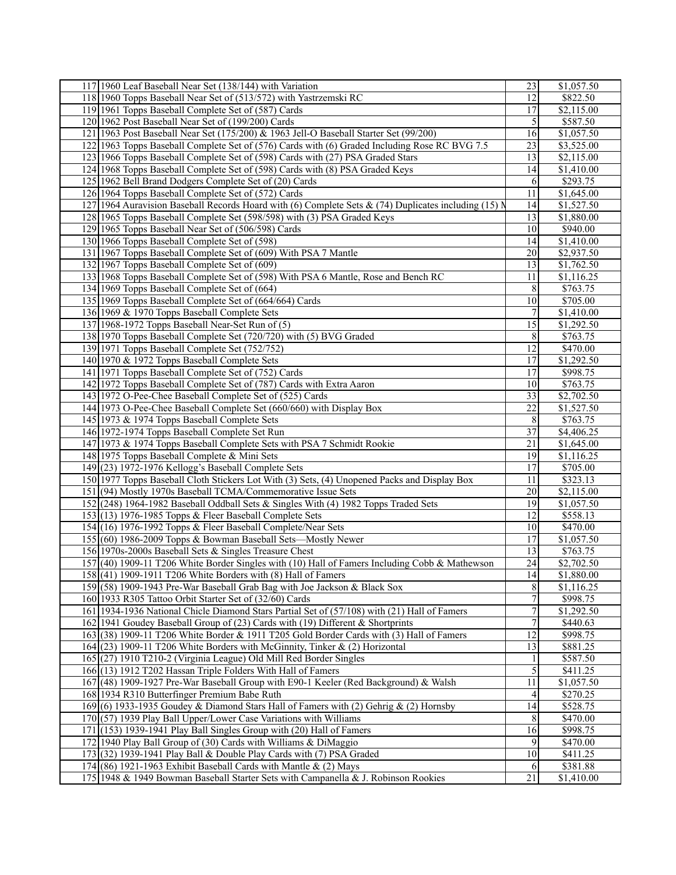| 117 1960 Leaf Baseball Near Set (138/144) with Variation |                                                                                                      | 23               | \$1,057.50             |
|----------------------------------------------------------|------------------------------------------------------------------------------------------------------|------------------|------------------------|
|                                                          | 118 1960 Topps Baseball Near Set of (513/572) with Yastrzemski RC                                    | 12               | \$822.50               |
| 119 1961 Topps Baseball Complete Set of (587) Cards      |                                                                                                      | 17               | \$2,115.00             |
| 120 1962 Post Baseball Near Set of (199/200) Cards       |                                                                                                      | 5                | \$587.50               |
|                                                          | 121   1963 Post Baseball Near Set (175/200) & 1963 Jell-O Baseball Starter Set (99/200)              | 16               | \$1,057.50             |
|                                                          | 122 1963 Topps Baseball Complete Set of (576) Cards with (6) Graded Including Rose RC BVG 7.5        | 23               | \$3,525.00             |
|                                                          | 123 1966 Topps Baseball Complete Set of (598) Cards with (27) PSA Graded Stars                       | 13               | \$2,115.00             |
|                                                          | 124 1968 Topps Baseball Complete Set of (598) Cards with (8) PSA Graded Keys                         | 14               | \$1,410.00             |
| 125 1962 Bell Brand Dodgers Complete Set of (20) Cards   |                                                                                                      | 6                | \$293.75               |
|                                                          |                                                                                                      | 11               | \$1,645.00             |
| 126 1964 Topps Baseball Complete Set of (572) Cards      |                                                                                                      |                  |                        |
|                                                          | 127 1964 Auravision Baseball Records Hoard with (6) Complete Sets & (74) Duplicates including (15) N | 14               | \$1,527.50             |
|                                                          | 128 1965 Topps Baseball Complete Set (598/598) with (3) PSA Graded Keys                              | 13               | $\overline{$1,880.00}$ |
| 129 1965 Topps Baseball Near Set of (506/598) Cards      |                                                                                                      | 10               | \$940.00               |
| 130 1966 Topps Baseball Complete Set of (598)            |                                                                                                      | 14               | \$1,410.00             |
|                                                          | 131 1967 Topps Baseball Complete Set of (609) With PSA 7 Mantle                                      | 20               | \$2,937.50             |
| 132 1967 Topps Baseball Complete Set of (609)            |                                                                                                      | 13               | \$1,762.50             |
|                                                          | 133 1968 Topps Baseball Complete Set of (598) With PSA 6 Mantle, Rose and Bench RC                   | 11               | \$1,116.25             |
| 134 1969 Topps Baseball Complete Set of (664)            |                                                                                                      | 8                | \$763.75               |
| 135 1969 Topps Baseball Complete Set of (664/664) Cards  |                                                                                                      | 10               | \$705.00               |
| 136 1969 & 1970 Topps Baseball Complete Sets             |                                                                                                      | 7                | \$1,410.00             |
| 137 1968-1972 Topps Baseball Near-Set Run of (5)         |                                                                                                      | 15               | \$1,292.50             |
|                                                          | 138 1970 Topps Baseball Complete Set (720/720) with (5) BVG Graded                                   | 8                | $\overline{$763.75}$   |
| 139 1971 Topps Baseball Complete Set (752/752)           |                                                                                                      | 12               | \$470.00               |
| 140 1970 & 1972 Topps Baseball Complete Sets             |                                                                                                      | 17               | \$1,292.50             |
| 141 1971 Topps Baseball Complete Set of (752) Cards      |                                                                                                      | 17               | \$998.75               |
|                                                          | 142 1972 Topps Baseball Complete Set of (787) Cards with Extra Aaron                                 | 10               | \$763.75               |
|                                                          | 143 1972 O-Pee-Chee Baseball Complete Set of (525) Cards                                             | 33               | \$2,702.50             |
|                                                          | 144 1973 O-Pee-Chee Baseball Complete Set (660/660) with Display Box                                 | 22               | \$1,527.50             |
| 145 1973 & 1974 Topps Baseball Complete Sets             |                                                                                                      | 8                | \$763.75               |
| 146 1972-1974 Topps Baseball Complete Set Run            |                                                                                                      | 37               | \$4,406.25             |
|                                                          |                                                                                                      | 21               |                        |
|                                                          | 147 1973 & 1974 Topps Baseball Complete Sets with PSA 7 Schmidt Rookie                               |                  | \$1,645.00             |
| 148 1975 Topps Baseball Complete & Mini Sets             |                                                                                                      | 19               | \$1,116.25             |
| 149 (23) 1972-1976 Kellogg's Baseball Complete Sets      |                                                                                                      | 17               | \$705.00               |
|                                                          | 150 1977 Topps Baseball Cloth Stickers Lot With (3) Sets, (4) Unopened Packs and Display Box         | 11               | \$323.13               |
|                                                          | 151 (94) Mostly 1970s Baseball TCMA/Commemorative Issue Sets                                         | 20               | \$2,115.00             |
|                                                          | 152 (248) 1964-1982 Baseball Oddball Sets & Singles With (4) 1982 Topps Traded Sets                  | 19               | \$1,057.50             |
| 153 (13) 1976-1985 Topps & Fleer Baseball Complete Sets  |                                                                                                      | 12               | \$558.13               |
|                                                          | 154 (16) 1976-1992 Topps & Fleer Baseball Complete/Near Sets                                         | 10               | \$470.00               |
|                                                          | 155 (60) 1986-2009 Topps & Bowman Baseball Sets—Mostly Newer                                         | 17               | \$1,057.50             |
| 156 1970s-2000s Baseball Sets & Singles Treasure Chest   |                                                                                                      | 13               | \$763.75               |
|                                                          | 157 (40) 1909-11 T206 White Border Singles with (10) Hall of Famers Including Cobb & Mathewson       | 24               | \$2,702.50             |
|                                                          | 158 (41) 1909-1911 T206 White Borders with (8) Hall of Famers                                        | $\overline{14}$  | \$1,880.00             |
|                                                          | 159 (58) 1909-1943 Pre-War Baseball Grab Bag with Joe Jackson & Black Sox                            | 8                | \$1,116.25             |
| 160 1933 R305 Tattoo Orbit Starter Set of (32/60) Cards  |                                                                                                      | 7                | \$998.75               |
|                                                          | 161 1934-1936 National Chicle Diamond Stars Partial Set of (57/108) with (21) Hall of Famers         | $\boldsymbol{7}$ | \$1,292.50             |
|                                                          | 162 1941 Goudey Baseball Group of (23) Cards with (19) Different & Shortprints                       | 7                | \$440.63               |
|                                                          | 163 (38) 1909-11 T206 White Border & 1911 T205 Gold Border Cards with (3) Hall of Famers             | 12               | \$998.75               |
|                                                          | 164 $(23)$ 1909-11 T206 White Borders with McGinnity, Tinker & (2) Horizontal                        | 13               | \$881.25               |
|                                                          | 165 (27) 1910 T210-2 (Virginia League) Old Mill Red Border Singles                                   |                  | \$587.50               |
|                                                          | 166 (13) 1912 T202 Hassan Triple Folders With Hall of Famers                                         | 5                | \$411.25               |
|                                                          | 167 (48) 1909-1927 Pre-War Baseball Group with E90-1 Keeler (Red Background) & Walsh                 | 11               | \$1,057.50             |
| 168 1934 R310 Butterfinger Premium Babe Ruth             |                                                                                                      | 4                | \$270.25               |
|                                                          | 169(6) 1933-1935 Goudey & Diamond Stars Hall of Famers with (2) Gehrig & (2) Hornsby                 | 14               | \$528.75               |
|                                                          |                                                                                                      |                  |                        |
|                                                          | $170(57)$ 1939 Play Ball Upper/Lower Case Variations with Williams                                   | 8                | \$470.00               |
|                                                          | $171(153)$ 1939-1941 Play Ball Singles Group with (20) Hall of Famers                                | 16               | \$998.75               |
|                                                          | 172 1940 Play Ball Group of (30) Cards with Williams & DiMaggio                                      | 9                | \$470.00               |
|                                                          | 173 (32) 1939-1941 Play Ball & Double Play Cards with (7) PSA Graded                                 | 10               | \$411.25               |
|                                                          | 174 $(86)$ 1921-1963 Exhibit Baseball Cards with Mantle & (2) Mays                                   | 6                | \$381.88               |
|                                                          | 175 1948 & 1949 Bowman Baseball Starter Sets with Campanella & J. Robinson Rookies                   | 21               | \$1,410.00             |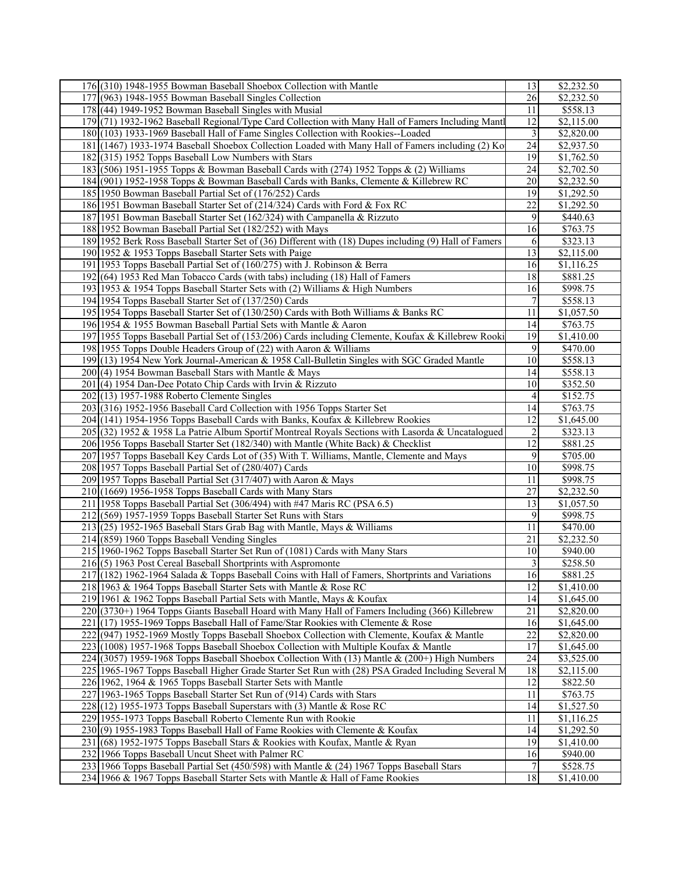| 176 (310) 1948-1955 Bowman Baseball Shoebox Collection with Mantle                                     | 13              | \$2,232.50           |
|--------------------------------------------------------------------------------------------------------|-----------------|----------------------|
| 177 (963) 1948-1955 Bowman Baseball Singles Collection                                                 | 26              | \$2,232.50           |
| 178 (44) 1949-1952 Bowman Baseball Singles with Musial                                                 | 11              | \$558.13             |
| 179(71) 1932-1962 Baseball Regional/Type Card Collection with Many Hall of Famers Including Mantl      | 12              | \$2,115.00           |
| 180 (103) 1933-1969 Baseball Hall of Fame Singles Collection with Rookies--Loaded                      | $\mathfrak{Z}$  | \$2,820.00           |
| 181 (1467) 1933-1974 Baseball Shoebox Collection Loaded with Many Hall of Famers including (2) Ko      | 24              | \$2,937.50           |
| 182 (315) 1952 Topps Baseball Low Numbers with Stars                                                   | 19              | \$1,762.50           |
| 183 (506) 1951-1955 Topps & Bowman Baseball Cards with (274) 1952 Topps & (2) Williams                 |                 |                      |
|                                                                                                        | 24              | \$2,702.50           |
| 184 (901) 1952-1958 Topps & Bowman Baseball Cards with Banks, Clemente & Killebrew RC                  | 20              | \$2,232.50           |
| 185 1950 Bowman Baseball Partial Set of (176/252) Cards                                                | 19              | \$1,292.50           |
| 186 1951 Bowman Baseball Starter Set of (214/324) Cards with Ford & Fox RC                             | 22              | \$1,292.50           |
| 187 1951 Bowman Baseball Starter Set (162/324) with Campanella & Rizzuto                               | 9               | \$440.63             |
| 188 1952 Bowman Baseball Partial Set (182/252) with Mays                                               | 16              | \$763.75             |
| 189 1952 Berk Ross Baseball Starter Set of (36) Different with (18) Dupes including (9) Hall of Famers | 6               | \$323.13             |
| 190 1952 & 1953 Topps Baseball Starter Sets with Paige                                                 | 13              | \$2,115.00           |
| 191 1953 Topps Baseball Partial Set of (160/275) with J. Robinson & Berra                              | 16              | \$1,116.25           |
| 192 (64) 1953 Red Man Tobacco Cards (with tabs) including (18) Hall of Famers                          | 18              | \$881.25             |
| 193 1953 & 1954 Topps Baseball Starter Sets with (2) Williams & High Numbers                           | 16              | \$998.75             |
| 194 1954 Topps Baseball Starter Set of (137/250) Cards                                                 | 7               | \$558.13             |
| 195 1954 Topps Baseball Starter Set of (130/250) Cards with Both Williams & Banks RC                   | 11              | \$1,057.50           |
| 196 1954 & 1955 Bowman Baseball Partial Sets with Mantle & Aaron                                       | 14              | \$763.75             |
| 197 1955 Topps Baseball Partial Set of (153/206) Cards including Clemente, Koufax & Killebrew Rooki    | $\overline{19}$ | \$1,410.00           |
| 198 1955 Topps Double Headers Group of (22) with Aaron & Williams                                      | 9               | \$470.00             |
| 199 (13) 1954 New York Journal-American & 1958 Call-Bulletin Singles with SGC Graded Mantle            | 10              | \$558.13             |
| $200(4)$ 1954 Bowman Baseball Stars with Mantle & Mays                                                 | 14              | \$558.13             |
| $201(4)$ 1954 Dan-Dee Potato Chip Cards with Irvin & Rizzuto                                           | 10              | \$352.50             |
| $202(13)$ 1957-1988 Roberto Clemente Singles                                                           | 4               | \$152.75             |
|                                                                                                        | 14              |                      |
| 203 (316) 1952-1956 Baseball Card Collection with 1956 Topps Starter Set                               |                 | \$763.75             |
| 204 (141) 1954-1956 Topps Baseball Cards with Banks, Koufax & Killebrew Rookies                        | 12              | \$1,645.00           |
| 205 (32) 1952 & 1958 La Patrie Album Sportif Montreal Royals Sections with Lasorda & Uncatalogued      | $\overline{c}$  | \$323.13             |
| 206 1956 Topps Baseball Starter Set (182/340) with Mantle (White Back) & Checklist                     | $\overline{12}$ | \$881.25             |
| 207 1957 Topps Baseball Key Cards Lot of (35) With T. Williams, Mantle, Clemente and Mays              | 9               | \$705.00             |
| 208 1957 Topps Baseball Partial Set of (280/407) Cards                                                 | 10              | \$998.75             |
| 209 1957 Topps Baseball Partial Set (317/407) with Aaron & Mays                                        | 11              | \$998.75             |
| $210(1669)$ 1956-1958 Topps Baseball Cards with Many Stars                                             | 27              | \$2,232.50           |
| 211 1958 Topps Baseball Partial Set (306/494) with #47 Maris RC (PSA 6.5)                              | 13              | \$1,057.50           |
| $212(569)$ 1957-1959 Topps Baseball Starter Set Runs with Stars                                        | 9               | \$998.75             |
| 213 (25) 1952-1965 Baseball Stars Grab Bag with Mantle, Mays & Williams                                | 11              | \$470.00             |
| $214(859)$ 1960 Topps Baseball Vending Singles                                                         | 21              | \$2,232.50           |
| 215 1960-1962 Topps Baseball Starter Set Run of (1081) Cards with Many Stars                           | 10              | \$940.00             |
| $216(5)$ 1963 Post Cereal Baseball Shortprints with Aspromonte                                         | 3               | $\overline{$}258.50$ |
| 217 (182) 1962-1964 Salada & Topps Baseball Coins with Hall of Famers, Shortprints and Variations      | 16              | \$881.25             |
| 218 1963 & 1964 Topps Baseball Starter Sets with Mantle & Rose RC                                      | 12              | \$1,410.00           |
| 219 1961 & 1962 Topps Baseball Partial Sets with Mantle, Mays & Koufax                                 | 14              | \$1,645.00           |
| 220 (3730+) 1964 Topps Giants Baseball Hoard with Many Hall of Famers Including (366) Killebrew        | 21              | \$2,820.00           |
| 221 (17) 1955-1969 Topps Baseball Hall of Fame/Star Rookies with Clemente & Rose                       | 16              | \$1,645.00           |
| 222 (947) 1952-1969 Mostly Topps Baseball Shoebox Collection with Clemente, Koufax & Mantle            | 22              | \$2,820.00           |
| 223 (1008) 1957-1968 Topps Baseball Shoebox Collection with Multiple Koufax & Mantle                   | 17              | \$1,645.00           |
| $224(3057)$ 1959-1968 Topps Baseball Shoebox Collection With (13) Mantle & (200+) High Numbers         | 24              | \$3,525.00           |
| 225 1965-1967 Topps Baseball Higher Grade Starter Set Run with (28) PSA Graded Including Several M     | 18              | \$2,115.00           |
| 226 1962, 1964 & 1965 Topps Baseball Starter Sets with Mantle                                          | 12              | \$822.50             |
| 227 1963-1965 Topps Baseball Starter Set Run of (914) Cards with Stars                                 | 11              | \$763.75             |
|                                                                                                        |                 |                      |
| $228(12)$ 1955-1973 Topps Baseball Superstars with (3) Mantle & Rose RC                                | 14              | \$1,527.50           |
| 229 1955-1973 Topps Baseball Roberto Clemente Run with Rookie                                          | 11              | \$1,116.25           |
| $230(9)$ 1955-1983 Topps Baseball Hall of Fame Rookies with Clemente & Koufax                          | 14              | \$1,292.50           |
| 231 (68) 1952-1975 Topps Baseball Stars & Rookies with Koufax, Mantle & Ryan                           | 19              | \$1,410.00           |
| 232 1966 Topps Baseball Uncut Sheet with Palmer RC                                                     | 16              | \$940.00             |
| 233 1966 Topps Baseball Partial Set (450/598) with Mantle & (24) 1967 Topps Baseball Stars             | 7               | \$528.75             |
| 234 1966 & 1967 Topps Baseball Starter Sets with Mantle & Hall of Fame Rookies                         | 18              | \$1,410.00           |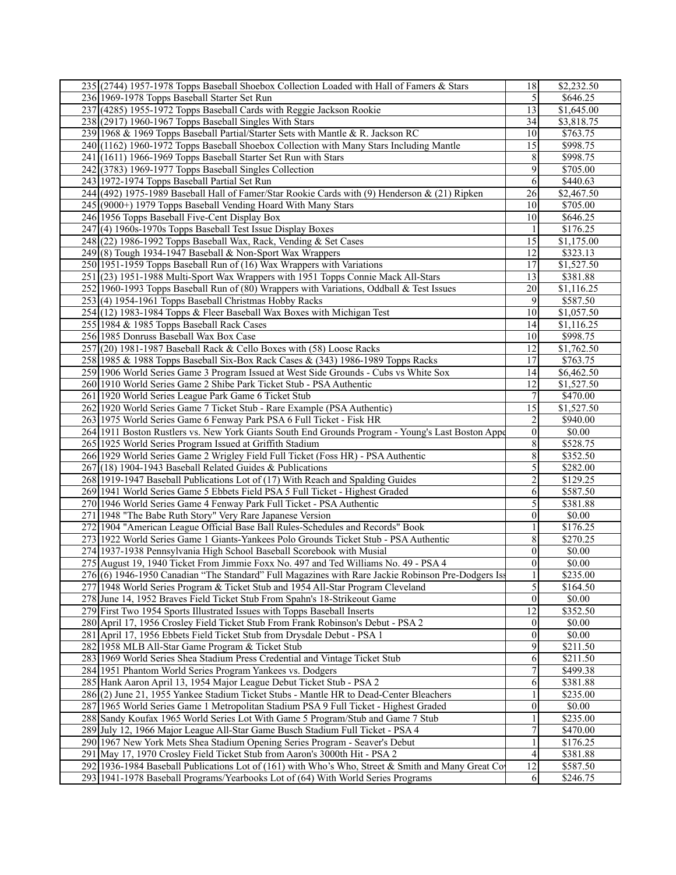| 235 (2744) 1957-1978 Topps Baseball Shoebox Collection Loaded with Hall of Famers & Stars          | 18               | \$2,232.50           |
|----------------------------------------------------------------------------------------------------|------------------|----------------------|
| 236 1969-1978 Topps Baseball Starter Set Run                                                       | 5                | \$646.25             |
| 237 (4285) 1955-1972 Topps Baseball Cards with Reggie Jackson Rookie                               | 13               | \$1,645.00           |
| $238(2917)$ 1960-1967 Topps Baseball Singles With Stars                                            | 34               | \$3,818.75           |
| 239 1968 & 1969 Topps Baseball Partial/Starter Sets with Mantle & R. Jackson RC                    | 10               | \$763.75             |
| 240 (1162) 1960-1972 Topps Baseball Shoebox Collection with Many Stars Including Mantle            | 15               | \$998.75             |
| 241 (1611) 1966-1969 Topps Baseball Starter Set Run with Stars                                     | 8                | \$998.75             |
| 242 (3783) 1969-1977 Topps Baseball Singles Collection                                             | 9                | \$705.00             |
|                                                                                                    |                  |                      |
| 243 1972-1974 Topps Baseball Partial Set Run                                                       | 6                | \$440.63             |
| $244$ (492) 1975-1989 Baseball Hall of Famer/Star Rookie Cards with (9) Henderson & (21) Ripken    | 26               | \$2,467.50           |
| 245 (9000+) 1979 Topps Baseball Vending Hoard With Many Stars                                      | 10               | \$705.00             |
| 246 1956 Topps Baseball Five-Cent Display Box                                                      | 10               | \$646.25             |
| 247 (4) 1960s-1970s Topps Baseball Test Issue Display Boxes                                        |                  | \$176.25             |
| $248(22)$ 1986-1992 Topps Baseball Wax, Rack, Vending & Set Cases                                  | 15               | \$1,175.00           |
| $249(8)$ Tough 1934-1947 Baseball & Non-Sport Wax Wrappers                                         | 12               | \$323.13             |
| 250 1951-1959 Topps Baseball Run of (16) Wax Wrappers with Variations                              | 17               | \$1,527.50           |
| 251 (23) 1951-1988 Multi-Sport Wax Wrappers with 1951 Topps Connie Mack All-Stars                  | 13               | \$381.88             |
| 252 1960-1993 Topps Baseball Run of (80) Wrappers with Variations, Oddball & Test Issues           | 20               | \$1,116.25           |
| 253 (4) 1954-1961 Topps Baseball Christmas Hobby Racks                                             | 9                | \$587.50             |
| 254 (12) 1983-1984 Topps & Fleer Baseball Wax Boxes with Michigan Test                             | 10               | \$1,057.50           |
| 255 1984 & 1985 Topps Baseball Rack Cases                                                          | 14               | \$1,116.25           |
| 256 1985 Donruss Baseball Wax Box Case                                                             | 10               | \$998.75             |
| 257 (20) 1981-1987 Baseball Rack & Cello Boxes with (58) Loose Racks                               | 12               | \$1,762.50           |
| 258 1985 & 1988 Topps Baseball Six-Box Rack Cases & (343) 1986-1989 Topps Racks                    | 17               | \$763.75             |
| 259 1906 World Series Game 3 Program Issued at West Side Grounds - Cubs vs White Sox               | 14               | \$6,462.50           |
| 260 1910 World Series Game 2 Shibe Park Ticket Stub - PSA Authentic                                | 12               | \$1,527.50           |
| 261 1920 World Series League Park Game 6 Ticket Stub                                               | $\overline{7}$   | \$470.00             |
| 262 1920 World Series Game 7 Ticket Stub - Rare Example (PSA Authentic)                            | $\overline{15}$  | \$1,527.50           |
|                                                                                                    |                  |                      |
| 263 1975 World Series Game 6 Fenway Park PSA 6 Full Ticket - Fisk HR                               | 2                | \$940.00             |
| 264 1911 Boston Rustlers vs. New York Giants South End Grounds Program - Young's Last Boston Appe  | $\boldsymbol{0}$ | \$0.00               |
| 265 1925 World Series Program Issued at Griffith Stadium                                           | 8                | \$528.75             |
| 266 1929 World Series Game 2 Wrigley Field Full Ticket (Foss HR) - PSA Authentic                   | 8                | $\overline{$}352.50$ |
| $267(18)$ 1904-1943 Baseball Related Guides & Publications                                         | 5                | \$282.00             |
| 268 1919-1947 Baseball Publications Lot of (17) With Reach and Spalding Guides                     | 2                | \$129.25             |
| 269 1941 World Series Game 5 Ebbets Field PSA 5 Full Ticket - Highest Graded                       | 6                | \$587.50             |
| 270 1946 World Series Game 4 Fenway Park Full Ticket - PSA Authentic                               | 5                | \$381.88             |
| 271 1948 "The Babe Ruth Story" Very Rare Japanese Version                                          | $\theta$         | \$0.00               |
| 272 1904 "American League Official Base Ball Rules-Schedules and Records" Book                     |                  | \$176.25             |
| 273 1922 World Series Game 1 Giants-Yankees Polo Grounds Ticket Stub - PSA Authentic               | 8                | \$270.25             |
| 274 1937-1938 Pennsylvania High School Baseball Scorebook with Musial                              | 0                | \$0.00               |
| 275 August 19, 1940 Ticket From Jimmie Foxx No. 497 and Ted Williams No. 49 - PSA 4                | $\boldsymbol{0}$ | \$0.00               |
| 276 (6) 1946-1950 Canadian "The Standard" Full Magazines with Rare Jackie Robinson Pre-Dodgers Iss | $\,1$            | \$235.00             |
| 277 1948 World Series Program & Ticket Stub and 1954 All-Star Program Cleveland                    | $\overline{5}$   | \$164.50             |
| 278 June 14, 1952 Braves Field Ticket Stub From Spahn's 18-Strikeout Game                          | $\boldsymbol{0}$ | \$0.00               |
| 279 First Two 1954 Sports Illustrated Issues with Topps Baseball Inserts                           | 12               | \$352.50             |
| 280 April 17, 1956 Crosley Field Ticket Stub From Frank Robinson's Debut - PSA 2                   | 0                | \$0.00               |
| 281 April 17, 1956 Ebbets Field Ticket Stub from Drysdale Debut - PSA 1                            | $\mathbf{0}$     | \$0.00               |
| 282 1958 MLB All-Star Game Program & Ticket Stub                                                   | 9                | \$211.50             |
| 283 1969 World Series Shea Stadium Press Credential and Vintage Ticket Stub                        | 6                | \$211.50             |
| 284 1951 Phantom World Series Program Yankees vs. Dodgers                                          | 7                | \$499.38             |
| 285 Hank Aaron April 13, 1954 Major League Debut Ticket Stub - PSA 2                               | 6                | \$381.88             |
|                                                                                                    |                  | $\overline{$}235.00$ |
| 286(2) June 21, 1955 Yankee Stadium Ticket Stubs - Mantle HR to Dead-Center Bleachers              |                  |                      |
| 287 1965 World Series Game 1 Metropolitan Stadium PSA 9 Full Ticket - Highest Graded               | 0                | \$0.00               |
| 288 Sandy Koufax 1965 World Series Lot With Game 5 Program/Stub and Game 7 Stub                    |                  | \$235.00             |
| 289 July 12, 1966 Major League All-Star Game Busch Stadium Full Ticket - PSA 4                     | 7                | \$470.00             |
| 290 1967 New York Mets Shea Stadium Opening Series Program - Seaver's Debut                        |                  | \$176.25             |
| 291 May 17, 1970 Crosley Field Ticket Stub from Aaron's 3000th Hit - PSA 2                         | $\overline{4}$   | \$381.88             |
| 292 1936-1984 Baseball Publications Lot of (161) with Who's Who, Street & Smith and Many Great Co  | 12               | \$587.50             |
| 293 1941-1978 Baseball Programs/Yearbooks Lot of (64) With World Series Programs                   | 6                | \$246.75             |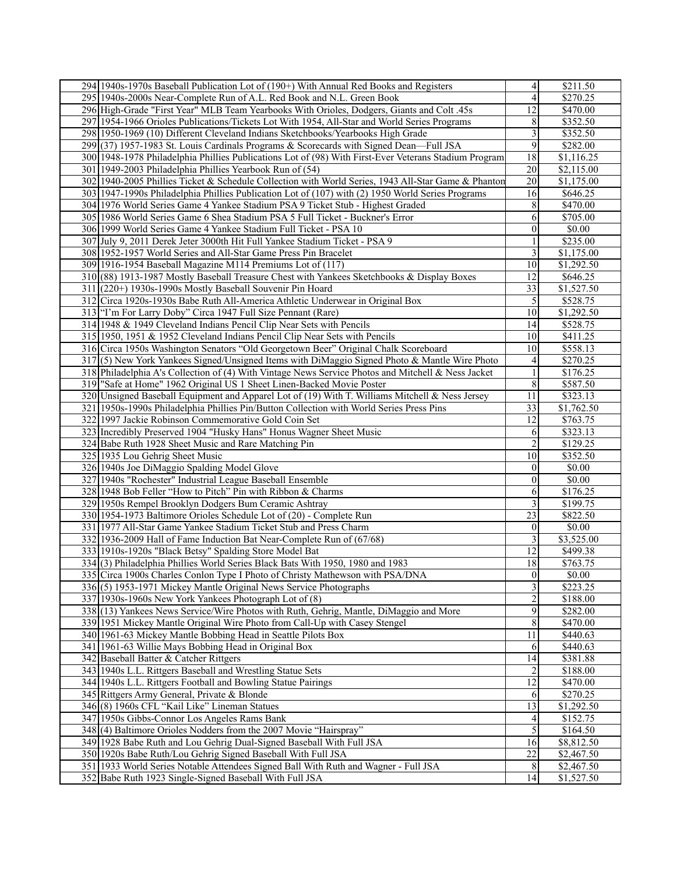| 294 1940s-1970s Baseball Publication Lot of (190+) With Annual Red Books and Registers                | 4                       | \$211.50               |
|-------------------------------------------------------------------------------------------------------|-------------------------|------------------------|
| 295 1940s-2000s Near-Complete Run of A.L. Red Book and N.L. Green Book                                | 4                       | \$270.25               |
| 296 High-Grade "First Year" MLB Team Yearbooks With Orioles, Dodgers, Giants and Colt .45s            | 12                      | \$470.00               |
| 297 1954-1966 Orioles Publications/Tickets Lot With 1954, All-Star and World Series Programs          | 8                       | \$352.50               |
| 298 1950-1969 (10) Different Cleveland Indians Sketchbooks/Yearbooks High Grade                       | 3                       | \$352.50               |
| 299 (37) 1957-1983 St. Louis Cardinals Programs & Scorecards with Signed Dean—Full JSA                | 9                       | \$282.00               |
| 300 1948-1978 Philadelphia Phillies Publications Lot of (98) With First-Ever Veterans Stadium Program | 18                      | \$1,116.25             |
|                                                                                                       |                         |                        |
| 301 1949-2003 Philadelphia Phillies Yearbook Run of (54)                                              | 20                      | \$2,115.00             |
| 302 1940-2005 Phillies Ticket & Schedule Collection with World Series, 1943 All-Star Game & Phanton   | 20                      | \$1,175.00             |
| 303 1947-1990s Philadelphia Phillies Publication Lot of (107) with (2) 1950 World Series Programs     | 16                      | \$646.25               |
| 304 1976 World Series Game 4 Yankee Stadium PSA 9 Ticket Stub - Highest Graded                        | 8                       | \$470.00               |
| 305 1986 World Series Game 6 Shea Stadium PSA 5 Full Ticket - Buckner's Error                         | 6                       | \$705.00               |
| 306 1999 World Series Game 4 Yankee Stadium Full Ticket - PSA 10                                      | $\boldsymbol{0}$        | \$0.00                 |
| 307 July 9, 2011 Derek Jeter 3000th Hit Full Yankee Stadium Ticket - PSA 9                            |                         | \$235.00               |
| 308 1952-1957 World Series and All-Star Game Press Pin Bracelet                                       | 3                       | \$1,175.00             |
| 309 1916-1954 Baseball Magazine M114 Premiums Lot of (117)                                            | 10                      | \$1,292.50             |
| 310 (88) 1913-1987 Mostly Baseball Treasure Chest with Yankees Sketchbooks & Display Boxes            | 12                      | \$646.25               |
| 311 (220+) 1930s-1990s Mostly Baseball Souvenir Pin Hoard                                             | 33                      | \$1,527.50             |
| 312 Circa 1920s-1930s Babe Ruth All-America Athletic Underwear in Original Box                        | 5                       | \$528.75               |
| 313 T'm For Larry Doby" Circa 1947 Full Size Pennant (Rare)                                           | 10                      | $\overline{$1,292.50}$ |
| 314 1948 & 1949 Cleveland Indians Pencil Clip Near Sets with Pencils                                  | 14                      | \$528.75               |
| 315 1950, 1951 & 1952 Cleveland Indians Pencil Clip Near Sets with Pencils                            | 10                      | \$411.25               |
| 316 Circa 1950s Washington Senators "Old Georgetown Beer" Original Chalk Scoreboard                   | 10                      | \$558.13               |
| 317(5) New York Yankees Signed/Unsigned Items with DiMaggio Signed Photo & Mantle Wire Photo          | 4                       | \$270.25               |
| 318 Philadelphia A's Collection of (4) With Vintage News Service Photos and Mitchell & Ness Jacket    | 1                       | \$176.25               |
| 319 "Safe at Home" 1962 Original US 1 Sheet Linen-Backed Movie Poster                                 | 8                       |                        |
|                                                                                                       |                         | \$587.50               |
| 320 Unsigned Baseball Equipment and Apparel Lot of (19) With T. Williams Mitchell & Ness Jersey       | 11                      | \$323.13               |
| 321 1950s-1990s Philadelphia Phillies Pin/Button Collection with World Series Press Pins              | 33                      | \$1,762.50             |
| 322 1997 Jackie Robinson Commemorative Gold Coin Set                                                  | 12                      | \$763.75               |
| 323 Incredibly Preserved 1904 "Husky Hans" Honus Wagner Sheet Music                                   | 6                       | \$323.13               |
| 324 Babe Ruth 1928 Sheet Music and Rare Matching Pin                                                  | $\overline{c}$          | $\overline{$}129.25$   |
| 325 1935 Lou Gehrig Sheet Music                                                                       | 10                      | \$352.50               |
| 326 1940s Joe DiMaggio Spalding Model Glove                                                           | 0                       | \$0.00                 |
| 327 1940s "Rochester" Industrial League Baseball Ensemble                                             | 0                       | \$0.00                 |
| 328 1948 Bob Feller "How to Pitch" Pin with Ribbon & Charms                                           | 6                       | \$176.25               |
| 329 1950s Rempel Brooklyn Dodgers Bum Ceramic Ashtray                                                 | 3                       | \$199.75               |
| 330 1954-1973 Baltimore Orioles Schedule Lot of (20) - Complete Run                                   | 23                      | \$822.50               |
| 331 1977 All-Star Game Yankee Stadium Ticket Stub and Press Charm                                     | 0                       | \$0.00                 |
| 332 1936-2009 Hall of Fame Induction Bat Near-Complete Run of (67/68)                                 | 3                       | \$3,525.00             |
| 333 1910s-1920s "Black Betsy" Spalding Store Model Bat                                                | 12                      | \$499.38               |
| 334(3) Philadelphia Phillies World Series Black Bats With 1950, 1980 and 1983                         | 18                      | \$763.75               |
| 335 Circa 1900s Charles Conlon Type I Photo of Christy Mathewson with PSA/DNA                         | $\boldsymbol{0}$        | \$0.00                 |
| 336(5) 1953-1971 Mickey Mantle Original News Service Photographs                                      | $\overline{\mathbf{3}}$ | \$223.25               |
| 337 1930s-1960s New York Yankees Photograph Lot of (8)                                                | 2                       | \$188.00               |
| 338 (13) Yankees News Service/Wire Photos with Ruth, Gehrig, Mantle, DiMaggio and More                | 9                       | \$282.00               |
| 339 1951 Mickey Mantle Original Wire Photo from Call-Up with Casey Stengel                            | 8                       | \$470.00               |
| 340 1961-63 Mickey Mantle Bobbing Head in Seattle Pilots Box                                          | 11                      | \$440.63               |
|                                                                                                       |                         |                        |
| 341 1961-63 Willie Mays Bobbing Head in Original Box                                                  | 6                       | \$440.63               |
| 342 Baseball Batter & Catcher Rittgers                                                                | 14                      | \$381.88               |
| 343 1940s L.L. Rittgers Baseball and Wrestling Statue Sets                                            | 2                       | \$188.00               |
| 344 1940s L.L. Rittgers Football and Bowling Statue Pairings                                          | 12                      | \$470.00               |
| 345 Rittgers Army General, Private & Blonde                                                           | 6                       | \$270.25               |
| 346 (8) 1960s CFL "Kail Like" Lineman Statues                                                         | 13                      | \$1,292.50             |
| 347 1950s Gibbs-Connor Los Angeles Rams Bank                                                          | 4                       | \$152.75               |
| 348 (4) Baltimore Orioles Nodders from the 2007 Movie "Hairspray"                                     | 5                       | \$164.50               |
| 349 1928 Babe Ruth and Lou Gehrig Dual-Signed Baseball With Full JSA                                  | 16                      | \$8,812.50             |
| 350 1920s Babe Ruth/Lou Gehrig Signed Baseball With Full JSA                                          | 22                      | \$2,467.50             |
| 351 1933 World Series Notable Attendees Signed Ball With Ruth and Wagner - Full JSA                   | 8                       | \$2,467.50             |
| 352 Babe Ruth 1923 Single-Signed Baseball With Full JSA                                               | 14                      | \$1,527.50             |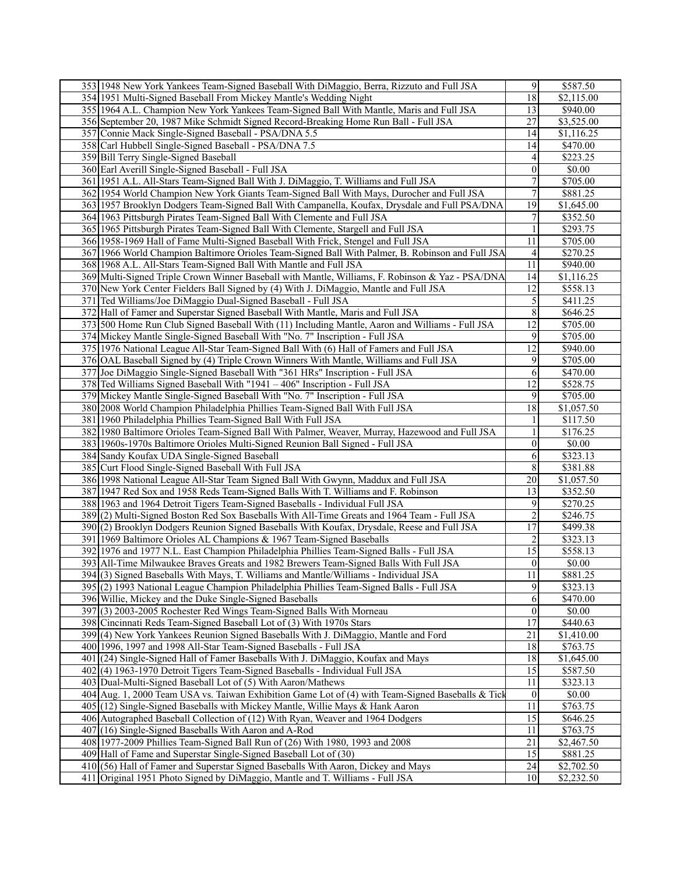| 353 1948 New York Yankees Team-Signed Baseball With DiMaggio, Berra, Rizzuto and Full JSA         | 9                | \$587.50             |
|---------------------------------------------------------------------------------------------------|------------------|----------------------|
| 354 1951 Multi-Signed Baseball From Mickey Mantle's Wedding Night                                 | 18               | \$2,115.00           |
| 355 1964 A.L. Champion New York Yankees Team-Signed Ball With Mantle, Maris and Full JSA          | 13               | \$940.00             |
| 356 September 20, 1987 Mike Schmidt Signed Record-Breaking Home Run Ball - Full JSA               | 27               | \$3,525.00           |
| 357 Connie Mack Single-Signed Baseball - PSA/DNA 5.5                                              | 14               | \$1,116.25           |
| 358 Carl Hubbell Single-Signed Baseball - PSA/DNA 7.5                                             | 14               | \$470.00             |
| 359 Bill Terry Single-Signed Baseball                                                             | 4                | \$223.25             |
| 360 Earl Averill Single-Signed Baseball - Full JSA                                                | 0                | \$0.00               |
|                                                                                                   |                  |                      |
| 361 1951 A.L. All-Stars Team-Signed Ball With J. DiMaggio, T. Williams and Full JSA               | 7                | \$705.00             |
| 362 1954 World Champion New York Giants Team-Signed Ball With Mays, Durocher and Full JSA         | 7                | \$881.25             |
| 363 1957 Brooklyn Dodgers Team-Signed Ball With Campanella, Koufax, Drysdale and Full PSA/DNA     | 19               | \$1,645.00           |
| 364 1963 Pittsburgh Pirates Team-Signed Ball With Clemente and Full JSA                           | 7                | \$352.50             |
| 365 1965 Pittsburgh Pirates Team-Signed Ball With Clemente, Stargell and Full JSA                 | 1                | \$293.75             |
| 366 1958-1969 Hall of Fame Multi-Signed Baseball With Frick, Stengel and Full JSA                 | 11               | \$705.00             |
| 367 1966 World Champion Baltimore Orioles Team-Signed Ball With Palmer, B. Robinson and Full JSA  | 4                | \$270.25             |
| 368 1968 A.L. All-Stars Team-Signed Ball With Mantle and Full JSA                                 | 11               | \$940.00             |
| 369 Multi-Signed Triple Crown Winner Baseball with Mantle, Williams, F. Robinson & Yaz - PSA/DNA  | 14               | \$1,116.25           |
| 370 New York Center Fielders Ball Signed by (4) With J. DiMaggio, Mantle and Full JSA             | 12               | \$558.13             |
| 371 Ted Williams/Joe DiMaggio Dual-Signed Baseball - Full JSA                                     | 5                | \$411.25             |
| 372 Hall of Famer and Superstar Signed Baseball With Mantle, Maris and Full JSA                   | 8                | \$646.25             |
| 373 500 Home Run Club Signed Baseball With (11) Including Mantle, Aaron and Williams - Full JSA   | 12               | \$705.00             |
| 374 Mickey Mantle Single-Signed Baseball With "No. 7" Inscription - Full JSA                      | 9                | \$705.00             |
| 375 1976 National League All-Star Team-Signed Ball With (6) Hall of Famers and Full JSA           | 12               | \$940.00             |
| 376 OAL Baseball Signed by (4) Triple Crown Winners With Mantle, Williams and Full JSA            | 9                | \$705.00             |
| 377 Joe DiMaggio Single-Signed Baseball With "361 HRs" Inscription - Full JSA                     | 6                | \$470.00             |
| 378 Ted Williams Signed Baseball With "1941 - 406" Inscription - Full JSA                         | 12               | \$528.75             |
| 379 Mickey Mantle Single-Signed Baseball With "No. 7" Inscription - Full JSA                      | 9                | \$705.00             |
|                                                                                                   |                  |                      |
| 380 2008 World Champion Philadelphia Phillies Team-Signed Ball With Full JSA                      | 18               | \$1,057.50           |
| 381 1960 Philadelphia Phillies Team-Signed Ball With Full JSA                                     |                  | \$117.50             |
| 382 1980 Baltimore Orioles Team-Signed Ball With Palmer, Weaver, Murray, Hazewood and Full JSA    |                  | \$176.25             |
| 383 1960s-1970s Baltimore Orioles Multi-Signed Reunion Ball Signed - Full JSA                     | $\boldsymbol{0}$ | \$0.00               |
| 384 Sandy Koufax UDA Single-Signed Baseball                                                       | 6                | \$323.13             |
| 385 Curt Flood Single-Signed Baseball With Full JSA                                               | 8                | \$381.88             |
| 386 1998 National League All-Star Team Signed Ball With Gwynn, Maddux and Full JSA                | 20               | \$1,057.50           |
| 387 1947 Red Sox and 1958 Reds Team-Signed Balls With T. Williams and F. Robinson                 | 13               | \$352.50             |
| 388 1963 and 1964 Detroit Tigers Team-Signed Baseballs - Individual Full JSA                      | 9                | $\overline{$}270.25$ |
| 389(2) Multi-Signed Boston Red Sox Baseballs With All-Time Greats and 1964 Team - Full JSA        | $\overline{c}$   | \$246.75             |
| 390 (2) Brooklyn Dodgers Reunion Signed Baseballs With Koufax, Drysdale, Reese and Full JSA       | 17               | \$499.38             |
| 391 1969 Baltimore Orioles AL Champions & 1967 Team-Signed Baseballs                              | 2                | \$323.13             |
| 392 1976 and 1977 N.L. East Champion Philadelphia Phillies Team-Signed Balls - Full JSA           | 15               | \$558.13             |
| 393 All-Time Milwaukee Braves Greats and 1982 Brewers Team-Signed Balls With Full JSA             | $\boldsymbol{0}$ | \$0.00               |
| 394 (3) Signed Baseballs With Mays, T. Williams and Mantle/Williams - Individual JSA              | $\overline{11}$  | \$881.25             |
| 395(2) 1993 National League Champion Philadelphia Phillies Team-Signed Balls - Full JSA           | 9                | \$323.13             |
| 396 Willie, Mickey and the Duke Single-Signed Baseballs                                           | 6                | \$470.00             |
| 397(3) 2003-2005 Rochester Red Wings Team-Signed Balls With Morneau                               | $\boldsymbol{0}$ | \$0.00               |
| 398 Cincinnati Reds Team-Signed Baseball Lot of (3) With 1970s Stars                              | 17               | \$440.63             |
| 399 (4) New York Yankees Reunion Signed Baseballs With J. DiMaggio, Mantle and Ford               | 21               | \$1,410.00           |
| 400 1996, 1997 and 1998 All-Star Team-Signed Baseballs - Full JSA                                 | 18               | \$763.75             |
| 401 (24) Single-Signed Hall of Famer Baseballs With J. DiMaggio, Koufax and Mays                  | 18               | \$1,645.00           |
| 402(4) 1963-1970 Detroit Tigers Team-Signed Baseballs - Individual Full JSA                       | 15               | \$587.50             |
| 403 Dual-Multi-Signed Baseball Lot of (5) With Aaron/Mathews                                      | 11               | \$323.13             |
|                                                                                                   | $\boldsymbol{0}$ |                      |
| 404 Aug. 1, 2000 Team USA vs. Taiwan Exhibition Game Lot of (4) with Team-Signed Baseballs & Tick |                  | \$0.00               |
| 405 (12) Single-Signed Baseballs with Mickey Mantle, Willie Mays & Hank Aaron                     | 11               | \$763.75             |
| 406 Autographed Baseball Collection of (12) With Ryan, Weaver and 1964 Dodgers                    | 15               | \$646.25             |
| 407 (16) Single-Signed Baseballs With Aaron and A-Rod                                             | 11               | \$763.75             |
| 408 1977-2009 Phillies Team-Signed Ball Run of (26) With 1980, 1993 and 2008                      | 21               | \$2,467.50           |
| 409 Hall of Fame and Superstar Single-Signed Baseball Lot of (30)                                 | 15               | \$881.25             |
| 410 (56) Hall of Famer and Superstar Signed Baseballs With Aaron, Dickey and Mays                 | 24               | \$2,702.50           |
| 411 Original 1951 Photo Signed by DiMaggio, Mantle and T. Williams - Full JSA                     | 10               | \$2,232.50           |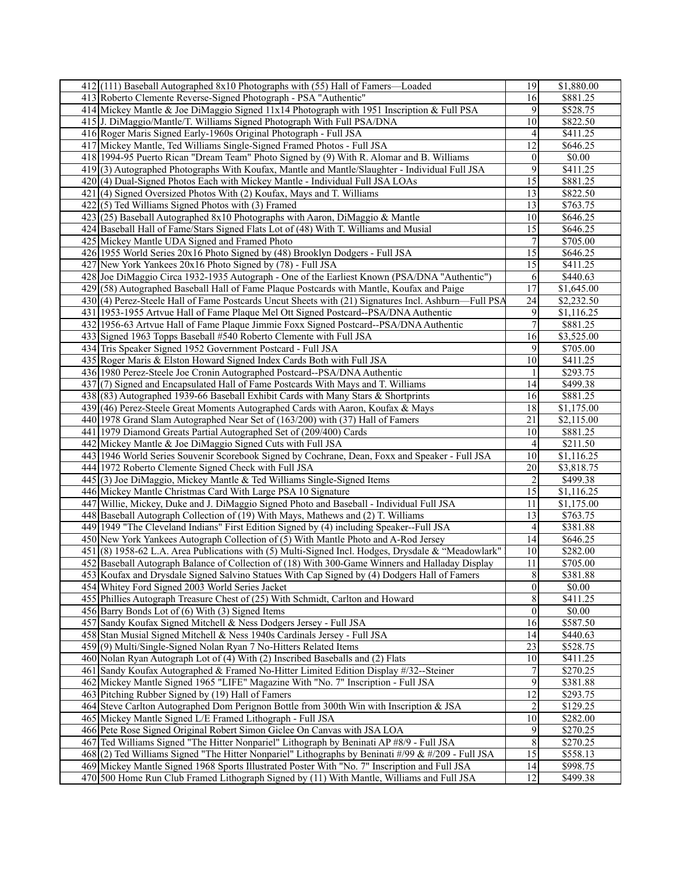| 412(111) Baseball Autographed 8x10 Photographs with (55) Hall of Famers—Loaded                                                                                                             | 19                      | \$1,880.00           |
|--------------------------------------------------------------------------------------------------------------------------------------------------------------------------------------------|-------------------------|----------------------|
| 413 Roberto Clemente Reverse-Signed Photograph - PSA "Authentic"                                                                                                                           | 16                      | \$881.25             |
| 414 Mickey Mantle & Joe DiMaggio Signed 11x14 Photograph with 1951 Inscription & Full PSA                                                                                                  | 9                       | \$528.75             |
| 415 J. DiMaggio/Mantle/T. Williams Signed Photograph With Full PSA/DNA                                                                                                                     | 10                      | \$822.50             |
| 416 Roger Maris Signed Early-1960s Original Photograph - Full JSA                                                                                                                          | 4                       | \$411.25             |
| 417 Mickey Mantle, Ted Williams Single-Signed Framed Photos - Full JSA                                                                                                                     | 12                      | \$646.25             |
|                                                                                                                                                                                            |                         |                      |
| 418 1994-95 Puerto Rican "Dream Team" Photo Signed by (9) With R. Alomar and B. Williams                                                                                                   | $\boldsymbol{0}$        | \$0.00               |
| 419(3) Autographed Photographs With Koufax, Mantle and Mantle/Slaughter - Individual Full JSA                                                                                              | 9                       | \$411.25             |
| 420(4) Dual-Signed Photos Each with Mickey Mantle - Individual Full JSA LOAs                                                                                                               | 15                      | \$881.25             |
| 421 (4) Signed Oversized Photos With (2) Koufax, Mays and T. Williams                                                                                                                      | 13                      | \$822.50             |
| $422(5)$ Ted Williams Signed Photos with (3) Framed                                                                                                                                        | 13                      | $\overline{$}763.75$ |
| $423$ (25) Baseball Autographed 8x10 Photographs with Aaron, DiMaggio & Mantle                                                                                                             | 10                      | \$646.25             |
| 424 Baseball Hall of Fame/Stars Signed Flats Lot of (48) With T. Williams and Musial                                                                                                       | 15                      | \$646.25             |
| 425 Mickey Mantle UDA Signed and Framed Photo                                                                                                                                              | 7                       | \$705.00             |
| 426 1955 World Series 20x16 Photo Signed by (48) Brooklyn Dodgers - Full JSA                                                                                                               | 15                      | \$646.25             |
| 427 New York Yankees 20x16 Photo Signed by (78) - Full JSA                                                                                                                                 | 15                      | \$411.25             |
| 428 Joe DiMaggio Circa 1932-1935 Autograph - One of the Earliest Known (PSA/DNA "Authentic")                                                                                               | 6                       | \$440.63             |
| 429 (58) Autographed Baseball Hall of Fame Plaque Postcards with Mantle, Koufax and Paige                                                                                                  | 17                      | \$1,645.00           |
|                                                                                                                                                                                            | 24                      | \$2,232.50           |
| 430(4) Perez-Steele Hall of Fame Postcards Uncut Sheets with (21) Signatures Incl. Ashburn—Full PSA<br>431 1953-1955 Artvue Hall of Fame Plaque Mel Ott Signed Postcard--PSA/DNA Authentic |                         |                      |
|                                                                                                                                                                                            | 9<br>$\overline{7}$     | \$1,116.25           |
| 432 1956-63 Artvue Hall of Fame Plaque Jimmie Foxx Signed Postcard--PSA/DNA Authentic                                                                                                      |                         | \$881.25             |
| 433 Signed 1963 Topps Baseball #540 Roberto Clemente with Full JSA                                                                                                                         | 16                      | \$3,525.00           |
| 434 Tris Speaker Signed 1952 Government Postcard - Full JSA                                                                                                                                | 9                       | \$705.00             |
| 435 Roger Maris & Elston Howard Signed Index Cards Both with Full JSA                                                                                                                      | 10                      | \$411.25             |
| 436 1980 Perez-Steele Joe Cronin Autographed Postcard--PSA/DNA Authentic                                                                                                                   |                         | \$293.75             |
| 437(7) Signed and Encapsulated Hall of Fame Postcards With Mays and T. Williams                                                                                                            | 14                      | \$499.38             |
| 438 (83) Autographed 1939-66 Baseball Exhibit Cards with Many Stars & Shortprints                                                                                                          | 16                      | \$881.25             |
| 439 (46) Perez-Steele Great Moments Autographed Cards with Aaron, Koufax & Mays                                                                                                            | 18                      | \$1,175.00           |
| 440 1978 Grand Slam Autographed Near Set of (163/200) with (37) Hall of Famers                                                                                                             | 21                      | \$2,115.00           |
| 441 1979 Diamond Greats Partial Autographed Set of (209/400) Cards                                                                                                                         | 10                      | \$881.25             |
| 442 Mickey Mantle & Joe DiMaggio Signed Cuts with Full JSA                                                                                                                                 | 4                       | \$211.50             |
| 443 1946 World Series Souvenir Scorebook Signed by Cochrane, Dean, Foxx and Speaker - Full JSA                                                                                             | 10                      | \$1,116.25           |
| 444 1972 Roberto Clemente Signed Check with Full JSA                                                                                                                                       | 20                      | \$3,818.75           |
| 445 (3) Joe DiMaggio, Mickey Mantle & Ted Williams Single-Signed Items                                                                                                                     | $\overline{c}$          | \$499.38             |
| 446 Mickey Mantle Christmas Card With Large PSA 10 Signature                                                                                                                               | 15                      | \$1,116.25           |
| 447 Willie, Mickey, Duke and J. DiMaggio Signed Photo and Baseball - Individual Full JSA                                                                                                   | 11                      | \$1,175.00           |
|                                                                                                                                                                                            | 13                      |                      |
| 448 Baseball Autograph Collection of (19) With Mays, Mathews and (2) T. Williams                                                                                                           |                         | \$763.75             |
| 449 1949 "The Cleveland Indians" First Edition Signed by (4) including Speaker--Full JSA                                                                                                   | 4                       | \$381.88             |
| 450 New York Yankees Autograph Collection of (5) With Mantle Photo and A-Rod Jersey                                                                                                        | 14                      | \$646.25             |
| $451(8)$ 1958-62 L.A. Area Publications with (5) Multi-Signed Incl. Hodges, Drysdale & "Meadowlark"                                                                                        | 10                      | \$282.00             |
| 452 Baseball Autograph Balance of Collection of (18) With 300-Game Winners and Halladay Display                                                                                            | 11                      | \$705.00             |
| 453 Koufax and Drysdale Signed Salvino Statues With Cap Signed by (4) Dodgers Hall of Famers                                                                                               | $\,$ $\,$               | \$381.88             |
| 454 Whitey Ford Signed 2003 World Series Jacket                                                                                                                                            | $\boldsymbol{0}$        | \$0.00               |
| 455 Phillies Autograph Treasure Chest of (25) With Schmidt, Carlton and Howard                                                                                                             | 8                       | \$411.25             |
| 456 Barry Bonds Lot of (6) With (3) Signed Items                                                                                                                                           | $\boldsymbol{0}$        | \$0.00               |
| 457 Sandy Koufax Signed Mitchell & Ness Dodgers Jersey - Full JSA                                                                                                                          | 16                      | \$587.50             |
| 458 Stan Musial Signed Mitchell & Ness 1940s Cardinals Jersey - Full JSA                                                                                                                   | 14                      | \$440.63             |
| 459(9) Multi/Single-Signed Nolan Ryan 7 No-Hitters Related Items                                                                                                                           | 23                      | \$528.75             |
| 460 Nolan Ryan Autograph Lot of (4) With (2) Inscribed Baseballs and (2) Flats                                                                                                             | 10                      | \$411.25             |
| 461 Sandy Koufax Autographed & Framed No-Hitter Limited Edition Display #/32--Steiner                                                                                                      | 7                       | \$270.25             |
| 462 Mickey Mantle Signed 1965 "LIFE" Magazine With "No. 7" Inscription - Full JSA                                                                                                          | 9                       | \$381.88             |
| 463 Pitching Rubber Signed by (19) Hall of Famers                                                                                                                                          | 12                      | \$293.75             |
| 464 Steve Carlton Autographed Dom Perignon Bottle from 300th Win with Inscription & JSA                                                                                                    | $\overline{\mathbf{c}}$ | \$129.25             |
| 465 Mickey Mantle Signed L/E Framed Lithograph - Full JSA                                                                                                                                  | 10                      | \$282.00             |
|                                                                                                                                                                                            |                         |                      |
| 466 Pete Rose Signed Original Robert Simon Giclee On Canvas with JSA LOA                                                                                                                   | 9                       | \$270.25             |
| 467 Ted Williams Signed "The Hitter Nonpariel" Lithograph by Beninati AP #8/9 - Full JSA                                                                                                   | $\,$ $\,$               | \$270.25             |
| 468 $(2)$ Ted Williams Signed "The Hitter Nonpariel" Lithographs by Beninati #/99 & #/209 - Full JSA                                                                                       | 15                      | \$558.13             |
| 469 Mickey Mantle Signed 1968 Sports Illustrated Poster With "No. 7" Inscription and Full JSA                                                                                              | 14                      | \$998.75             |
| 470 500 Home Run Club Framed Lithograph Signed by (11) With Mantle, Williams and Full JSA                                                                                                  | 12                      | \$499.38             |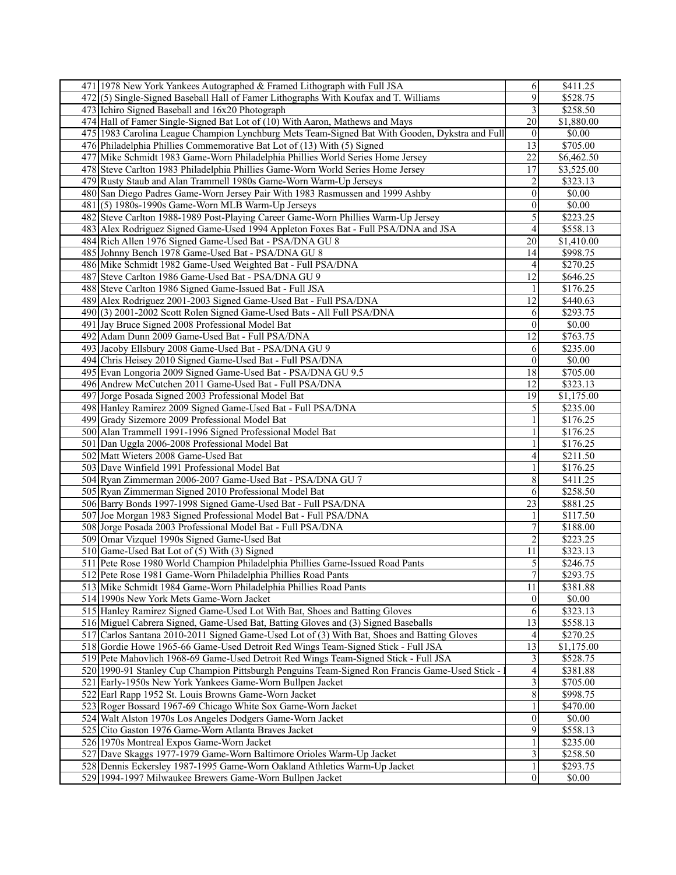| 471 1978 New York Yankees Autographed & Framed Lithograph with Full JSA                        | 6                | \$411.25             |
|------------------------------------------------------------------------------------------------|------------------|----------------------|
| 472(5) Single-Signed Baseball Hall of Famer Lithographs With Koufax and T. Williams            | 9                | \$528.75             |
| 473 Ichiro Signed Baseball and 16x20 Photograph                                                | 3                | \$258.50             |
| 474 Hall of Famer Single-Signed Bat Lot of (10) With Aaron, Mathews and Mays                   | 20               | \$1,880.00           |
| 475 1983 Carolina League Champion Lynchburg Mets Team-Signed Bat With Gooden, Dykstra and Full | $\boldsymbol{0}$ | \$0.00               |
|                                                                                                |                  |                      |
| 476 Philadelphia Phillies Commemorative Bat Lot of (13) With (5) Signed                        | 13               | \$705.00             |
| 477 Mike Schmidt 1983 Game-Worn Philadelphia Phillies World Series Home Jersey                 | 22               | \$6,462.50           |
| 478 Steve Carlton 1983 Philadelphia Phillies Game-Worn World Series Home Jersey                | 17               | \$3,525.00           |
| 479 Rusty Staub and Alan Trammell 1980s Game-Worn Warm-Up Jerseys                              | 2                | \$323.13             |
| 480 San Diego Padres Game-Worn Jersey Pair With 1983 Rasmussen and 1999 Ashby                  | $\boldsymbol{0}$ | \$0.00               |
| 481 (5) 1980s-1990s Game-Worn MLB Warm-Up Jerseys                                              | $\boldsymbol{0}$ | \$0.00               |
| 482 Steve Carlton 1988-1989 Post-Playing Career Game-Worn Phillies Warm-Up Jersey              | 5                | \$223.25             |
| 483 Alex Rodriguez Signed Game-Used 1994 Appleton Foxes Bat - Full PSA/DNA and JSA             | 4                | \$558.13             |
| 484 Rich Allen 1976 Signed Game-Used Bat - PSA/DNA GU 8                                        | 20               | \$1,410.00           |
| 485 Johnny Bench 1978 Game-Used Bat - PSA/DNA GU 8                                             | 14               | \$998.75             |
| 486 Mike Schmidt 1982 Game-Used Weighted Bat - Full PSA/DNA                                    | 4                | \$270.25             |
| 487 Steve Carlton 1986 Game-Used Bat - PSA/DNA GU 9                                            | 12               | \$646.25             |
| 488 Steve Carlton 1986 Signed Game-Issued Bat - Full JSA                                       |                  | \$176.25             |
|                                                                                                |                  |                      |
| 489 Alex Rodriguez 2001-2003 Signed Game-Used Bat - Full PSA/DNA                               | 12               | \$440.63             |
| 490 (3) 2001-2002 Scott Rolen Signed Game-Used Bats - All Full PSA/DNA                         | 6                | \$293.75             |
| 491 Jay Bruce Signed 2008 Professional Model Bat                                               | $\theta$         | \$0.00               |
| 492 Adam Dunn 2009 Game-Used Bat - Full PSA/DNA                                                | 12               | \$763.75             |
| 493 Jacoby Ellsbury 2008 Game-Used Bat - PSA/DNA GU 9                                          | 6                | \$235.00             |
| 494 Chris Heisey 2010 Signed Game-Used Bat - Full PSA/DNA                                      | $\theta$         | \$0.00               |
| 495 Evan Longoria 2009 Signed Game-Used Bat - PSA/DNA GU 9.5                                   | 18               | \$705.00             |
| 496 Andrew McCutchen 2011 Game-Used Bat - Full PSA/DNA                                         | 12               | \$323.13             |
| 497 Jorge Posada Signed 2003 Professional Model Bat                                            | 19               | \$1,175.00           |
| 498 Hanley Ramirez 2009 Signed Game-Used Bat - Full PSA/DNA                                    | 5                | \$235.00             |
| 499 Grady Sizemore 2009 Professional Model Bat                                                 |                  | \$176.25             |
| 500 Alan Trammell 1991-1996 Signed Professional Model Bat                                      |                  | \$176.25             |
| 501 Dan Uggla 2006-2008 Professional Model Bat                                                 |                  | \$176.25             |
| 502 Matt Wieters 2008 Game-Used Bat                                                            | 4                | \$211.50             |
| 503 Dave Winfield 1991 Professional Model Bat                                                  |                  | \$176.25             |
|                                                                                                | 8                |                      |
| 504 Ryan Zimmerman 2006-2007 Game-Used Bat - PSA/DNA GU 7                                      |                  | \$411.25             |
| 505 Ryan Zimmerman Signed 2010 Professional Model Bat                                          | 6                | \$258.50             |
| 506 Barry Bonds 1997-1998 Signed Game-Used Bat - Full PSA/DNA                                  | 23               | \$881.25             |
| 507 Joe Morgan 1983 Signed Professional Model Bat - Full PSA/DNA                               |                  | \$117.50             |
| 508 Jorge Posada 2003 Professional Model Bat - Full PSA/DNA                                    | 7                | \$188.00             |
| 509 Omar Vizquel 1990s Signed Game-Used Bat                                                    | 2                | \$223.25             |
| 510 Game-Used Bat Lot of (5) With (3) Signed                                                   | 11               | \$323.13             |
| 511 Pete Rose 1980 World Champion Philadelphia Phillies Game-Issued Road Pants                 | 5                | \$246.75             |
| 512 Pete Rose 1981 Game-Worn Philadelphia Phillies Road Pants                                  | $\overline{7}$   | \$293.75             |
| 513 Mike Schmidt 1984 Game-Worn Philadelphia Phillies Road Pants                               | 11               | \$381.88             |
| 514 1990s New York Mets Game-Worn Jacket                                                       | $\theta$         | \$0.00               |
| 515 Hanley Ramirez Signed Game-Used Lot With Bat, Shoes and Batting Gloves                     | 6                | \$323.13             |
| 516 Miguel Cabrera Signed, Game-Used Bat, Batting Gloves and (3) Signed Baseballs              | 13               | \$558.13             |
| 517 Carlos Santana 2010-2011 Signed Game-Used Lot of (3) With Bat, Shoes and Batting Gloves    | 4                | $\overline{$270.25}$ |
| 518 Gordie Howe 1965-66 Game-Used Detroit Red Wings Team-Signed Stick - Full JSA               | 13               | \$1,175.00           |
| 519 Pete Mahovlich 1968-69 Game-Used Detroit Red Wings Team-Signed Stick - Full JSA            | 3                | \$528.75             |
| 520 1990-91 Stanley Cup Champion Pittsburgh Penguins Team-Signed Ron Francis Game-Used Stick - |                  | \$381.88             |
|                                                                                                | 4<br>3           |                      |
| 521 Early-1950s New York Yankees Game-Worn Bullpen Jacket                                      |                  | \$705.00             |
| 522 Earl Rapp 1952 St. Louis Browns Game-Worn Jacket                                           | 8                | \$998.75             |
| 523 Roger Bossard 1967-69 Chicago White Sox Game-Worn Jacket                                   |                  | \$470.00             |
| 524 Walt Alston 1970s Los Angeles Dodgers Game-Worn Jacket                                     | $\boldsymbol{0}$ | \$0.00               |
| 525 Cito Gaston 1976 Game-Worn Atlanta Braves Jacket                                           | 9                | \$558.13             |
| 526 1970s Montreal Expos Game-Worn Jacket                                                      |                  | \$235.00             |
| 527 Dave Skaggs 1977-1979 Game-Worn Baltimore Orioles Warm-Up Jacket                           |                  | \$258.50             |
| 528 Dennis Eckersley 1987-1995 Game-Worn Oakland Athletics Warm-Up Jacket                      |                  | \$293.75             |
| 529 1994-1997 Milwaukee Brewers Game-Worn Bullpen Jacket                                       | $\boldsymbol{0}$ | \$0.00               |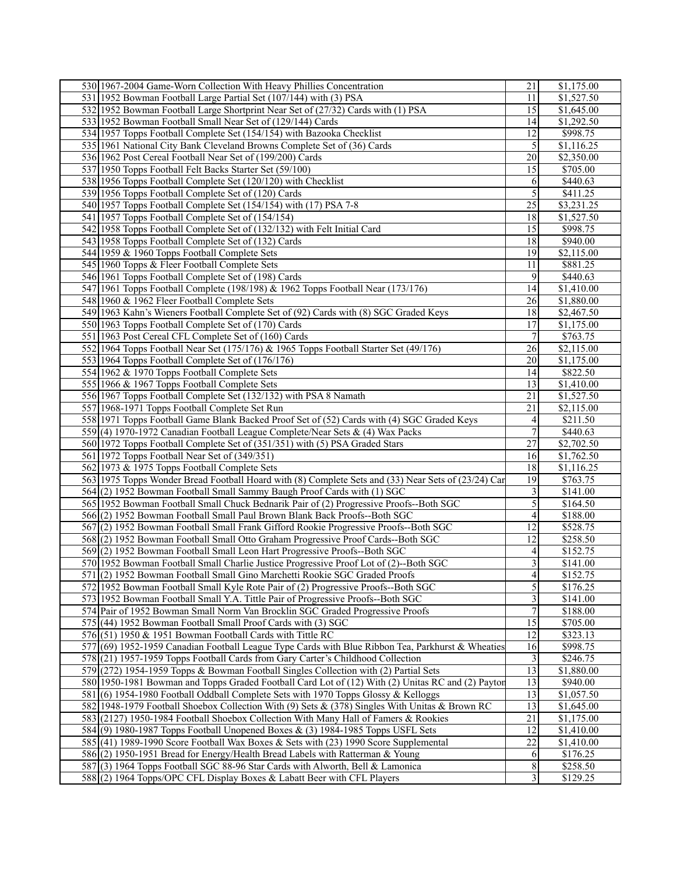| 530 1967-2004 Game-Worn Collection With Heavy Phillies Concentration                                | 21             | \$1,175.00            |
|-----------------------------------------------------------------------------------------------------|----------------|-----------------------|
| 531 1952 Bowman Football Large Partial Set (107/144) with (3) PSA                                   | 11             | \$1,527.50            |
| 532 1952 Bowman Football Large Shortprint Near Set of (27/32) Cards with (1) PSA                    | 15             | \$1,645.00            |
| 533 1952 Bowman Football Small Near Set of (129/144) Cards                                          | 14             | \$1,292.50            |
| 534 1957 Topps Football Complete Set (154/154) with Bazooka Checklist                               | 12             | \$998.75              |
| 535 1961 National City Bank Cleveland Browns Complete Set of (36) Cards                             | 5              | \$1,116.25            |
| 536 1962 Post Cereal Football Near Set of (199/200) Cards                                           | 20             | \$2,350.00            |
| 537 1950 Topps Football Felt Backs Starter Set (59/100)                                             | 15             | \$705.00              |
|                                                                                                     |                |                       |
| 538 1956 Topps Football Complete Set (120/120) with Checklist                                       | 6              | \$440.63              |
| 539 1956 Topps Football Complete Set of (120) Cards                                                 | 5              | \$411.25              |
| 540 1957 Topps Football Complete Set (154/154) with (17) PSA 7-8                                    | 25             | \$3,231.25            |
| 541 1957 Topps Football Complete Set of (154/154)                                                   | 18             | \$1,527.50            |
| 542 1958 Topps Football Complete Set of (132/132) with Felt Initial Card                            | 15             | \$998.75              |
| 543 1958 Topps Football Complete Set of (132) Cards                                                 | 18             | \$940.00              |
| 544 1959 & 1960 Topps Football Complete Sets                                                        | 19             | \$2,115.00            |
| 545 1960 Topps & Fleer Football Complete Sets                                                       | 11             | \$881.25              |
| 546 1961 Topps Football Complete Set of (198) Cards                                                 | 9              | \$440.63              |
| 547 1961 Topps Football Complete (198/198) & 1962 Topps Football Near (173/176)                     | 14             | \$1,410.00            |
| 548 1960 & 1962 Fleer Football Complete Sets                                                        | 26             | \$1,880.00            |
| 549 1963 Kahn's Wieners Football Complete Set of (92) Cards with (8) SGC Graded Keys                | 18             | \$2,467.50            |
| 550 1963 Topps Football Complete Set of (170) Cards                                                 | 17             | \$1,175.00            |
| 551 1963 Post Cereal CFL Complete Set of (160) Cards                                                | 7              | \$763.75              |
| 552 1964 Topps Football Near Set (175/176) & 1965 Topps Football Starter Set (49/176)               | 26             | \$2,115.00            |
| 553 1964 Topps Football Complete Set of (176/176)                                                   | 20             | \$1,175.00            |
| 554 1962 & 1970 Topps Football Complete Sets                                                        | 14             | \$822.50              |
| 555 1966 & 1967 Topps Football Complete Sets                                                        | 13             | \$1,410.00            |
|                                                                                                     | 21             |                       |
| 556 1967 Topps Football Complete Set (132/132) with PSA 8 Namath                                    |                | \$1,527.50            |
| 557 1968-1971 Topps Football Complete Set Run                                                       | 21             | \$2,115.00            |
| 558 1971 Topps Football Game Blank Backed Proof Set of (52) Cards with (4) SGC Graded Keys          | 4              | \$211.50              |
| 559 (4) 1970-1972 Canadian Football League Complete/Near Sets & (4) Wax Packs                       | 7              | \$440.63              |
| 560 1972 Topps Football Complete Set of (351/351) with (5) PSA Graded Stars                         | 27             | \$2,702.50            |
| 561 1972 Topps Football Near Set of (349/351)                                                       | 16             | \$1,762.50            |
| 562 1973 & 1975 Topps Football Complete Sets                                                        | 18             | \$1,116.25            |
| 563 1975 Topps Wonder Bread Football Hoard with (8) Complete Sets and (33) Near Sets of (23/24) Car | 19             | \$763.75              |
| 564 (2) 1952 Bowman Football Small Sammy Baugh Proof Cards with (1) SGC                             | 3              | \$141.00              |
| 565 1952 Bowman Football Small Chuck Bednarik Pair of (2) Progressive Proofs--Both SGC              | 5              | \$164.50              |
| 566 (2) 1952 Bowman Football Small Paul Brown Blank Back Proofs--Both SGC                           | 4              | \$188.00              |
| 567 (2) 1952 Bowman Football Small Frank Gifford Rookie Progressive Proofs--Both SGC                | 12             | \$528.75              |
| 568(2) 1952 Bowman Football Small Otto Graham Progressive Proof Cards--Both SGC                     | 12             | \$258.50              |
| 569(2) 1952 Bowman Football Small Leon Hart Progressive Proofs--Both SGC                            | 4              | \$152.75              |
| 570 1952 Bowman Football Small Charlie Justice Progressive Proof Lot of (2)--Both SGC               | 3              | \$141.00              |
| 571 (2) 1952 Bowman Football Small Gino Marchetti Rookie SGC Graded Proofs                          | 4              | \$152.75              |
| 572 1952 Bowman Football Small Kyle Rote Pair of (2) Progressive Proofs--Both SGC                   | $\overline{5}$ | \$176.25              |
| 573 1952 Bowman Football Small Y.A. Tittle Pair of Progressive Proofs--Both SGC                     | 3              | \$141.00              |
| 574 Pair of 1952 Bowman Small Norm Van Brocklin SGC Graded Progressive Proofs                       | $\overline{7}$ | \$188.00              |
| 575 (44) 1952 Bowman Football Small Proof Cards with (3) SGC                                        | 15             | \$705.00              |
| 576 $(51)$ 1950 & 1951 Bowman Football Cards with Tittle RC                                         | 12             | \$323.13              |
| 577 (69) 1952-1959 Canadian Football League Type Cards with Blue Ribbon Tea, Parkhurst & Wheaties   | 16             | \$998.75              |
|                                                                                                     |                |                       |
| 578 (21) 1957-1959 Topps Football Cards from Gary Carter's Childhood Collection                     | $\mathfrak{Z}$ | \$246.75              |
| 579 (272) 1954-1959 Topps & Bowman Football Singles Collection with (2) Partial Sets                | 13             | \$1,880.00            |
| 580 1950-1981 Bowman and Topps Graded Football Card Lot of (12) With (2) Unitas RC and (2) Payton   | 13             | \$940.00              |
| 581 (6) 1954-1980 Football Oddball Complete Sets with 1970 Topps Glossy & Kelloggs                  | 13             | \$1,057.50            |
| 582 1948-1979 Football Shoebox Collection With (9) Sets & (378) Singles With Unitas & Brown RC      | 13             | \$1,645.00            |
| 583 (2127) 1950-1984 Football Shoebox Collection With Many Hall of Famers & Rookies                 | 21             | \$1,175.00            |
| 584 (9) 1980-1987 Topps Football Unopened Boxes & (3) 1984-1985 Topps USFL Sets                     | 12             | $\overline{1,}410.00$ |
| 585 (41) 1989-1990 Score Football Wax Boxes & Sets with (23) 1990 Score Supplemental                | 22             | \$1,410.00            |
| 586 (2) 1950-1951 Bread for Energy/Health Bread Labels with Ratterman & Young                       | 6              | \$176.25              |
| 587 (3) 1964 Topps Football SGC 88-96 Star Cards with Alworth, Bell & Lamonica                      | 8              | \$258.50              |
| 588(2) 1964 Topps/OPC CFL Display Boxes & Labatt Beer with CFL Players                              | 3              | \$129.25              |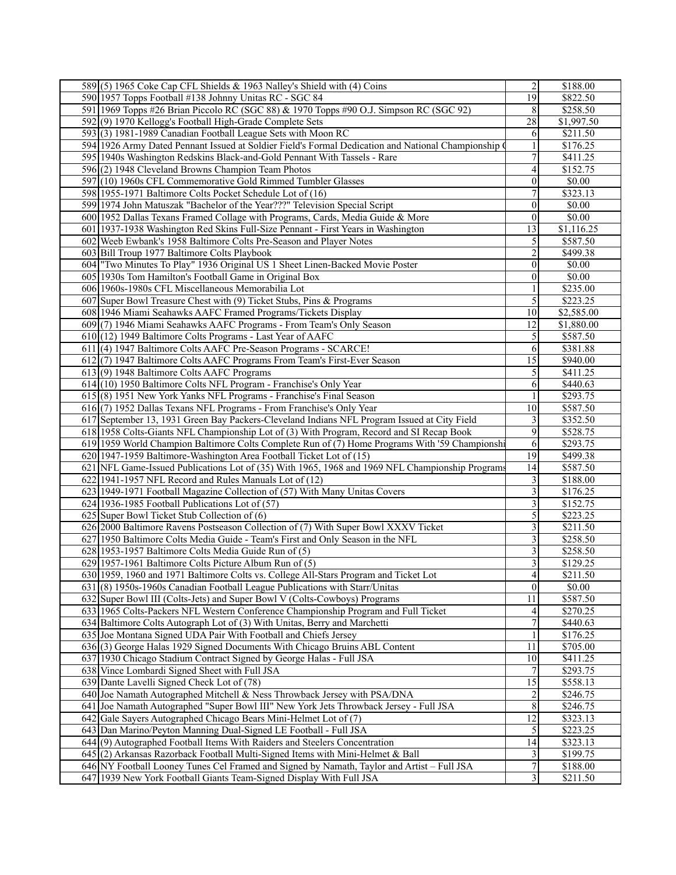| 589(5) 1965 Coke Cap CFL Shields $\&$ 1963 Nalley's Shield with (4) Coins                           | 2                | \$188.00             |
|-----------------------------------------------------------------------------------------------------|------------------|----------------------|
| 590 1957 Topps Football #138 Johnny Unitas RC - SGC 84                                              | 19               | \$822.50             |
| 591 1969 Topps #26 Brian Piccolo RC (SGC 88) & 1970 Topps #90 O.J. Simpson RC (SGC 92)              | 8                | \$258.50             |
| 592(9) 1970 Kellogg's Football High-Grade Complete Sets                                             | 28               | \$1,997.50           |
| 593(3) 1981-1989 Canadian Football League Sets with Moon RC                                         | 6                | \$211.50             |
| 594 1926 Army Dated Pennant Issued at Soldier Field's Formal Dedication and National Championship ( |                  | \$176.25             |
| 595 1940s Washington Redskins Black-and-Gold Pennant With Tassels - Rare                            | 7                | \$411.25             |
|                                                                                                     |                  |                      |
| 596(2) 1948 Cleveland Browns Champion Team Photos                                                   | 4                | \$152.75             |
| 597 (10) 1960s CFL Commemorative Gold Rimmed Tumbler Glasses                                        | 0                | \$0.00               |
| 598 1955-1971 Baltimore Colts Pocket Schedule Lot of (16)                                           | 7                | \$323.13             |
| 599 1974 John Matuszak "Bachelor of the Year???" Television Special Script                          | 0                | \$0.00               |
| 600 1952 Dallas Texans Framed Collage with Programs, Cards, Media Guide & More                      | $\boldsymbol{0}$ | \$0.00               |
| 601 1937-1938 Washington Red Skins Full-Size Pennant - First Years in Washington                    | 13               | \$1,116.25           |
| 602 Weeb Ewbank's 1958 Baltimore Colts Pre-Season and Player Notes                                  | 5                | \$587.50             |
| 603 Bill Troup 1977 Baltimore Colts Playbook                                                        | 2                | \$499.38             |
| 604 Two Minutes To Play" 1936 Original US 1 Sheet Linen-Backed Movie Poster                         | $\overline{0}$   | \$0.00               |
| 605 1930s Tom Hamilton's Football Game in Original Box                                              | 0                | \$0.00               |
| 606 1960s-1980s CFL Miscellaneous Memorabilia Lot                                                   |                  | $\overline{$235.00}$ |
| 607 Super Bowl Treasure Chest with (9) Ticket Stubs, Pins & Programs                                | 5                | \$223.25             |
| 608 1946 Miami Seahawks AAFC Framed Programs/Tickets Display                                        | 10               | \$2,585.00           |
|                                                                                                     |                  |                      |
| 609 (7) 1946 Miami Seahawks AAFC Programs - From Team's Only Season                                 | 12               | \$1,880.00           |
| 610 (12) 1949 Baltimore Colts Programs - Last Year of AAFC                                          | 5                | \$587.50             |
| 611 (4) 1947 Baltimore Colts AAFC Pre-Season Programs - SCARCE!                                     | 6                | \$381.88             |
| 612(7) 1947 Baltimore Colts AAFC Programs From Team's First-Ever Season                             | 15               | \$940.00             |
| $613(9)$ 1948 Baltimore Colts AAFC Programs                                                         | 5                | \$411.25             |
| $614(10)$ 1950 Baltimore Colts NFL Program - Franchise's Only Year                                  | 6                | \$440.63             |
| 615 (8) 1951 New York Yanks NFL Programs - Franchise's Final Season                                 |                  | \$293.75             |
| 616(7) 1952 Dallas Texans NFL Programs - From Franchise's Only Year                                 | 10               | \$587.50             |
| 617 September 13, 1931 Green Bay Packers-Cleveland Indians NFL Program Issued at City Field         | 3                | \$352.50             |
| 618 1958 Colts-Giants NFL Championship Lot of (3) With Program, Record and SI Recap Book            | 9                | \$528.75             |
| 619 1959 World Champion Baltimore Colts Complete Run of (7) Home Programs With '59 Championshi      | 6                | \$293.75             |
| 620 1947-1959 Baltimore-Washington Area Football Ticket Lot of (15)                                 | $\overline{19}$  | \$499.38             |
| 621 NFL Game-Issued Publications Lot of (35) With 1965, 1968 and 1969 NFL Championship Programs     | 14               | \$587.50             |
| 622 1941-1957 NFL Record and Rules Manuals Lot of (12)                                              | 3                | \$188.00             |
| 623 1949-1971 Football Magazine Collection of (57) With Many Unitas Covers                          | 3                | \$176.25             |
| $624$   1936-1985 Football Publications Lot of (57)                                                 | 3                | \$152.75             |
|                                                                                                     |                  |                      |
| 625 Super Bowl Ticket Stub Collection of $(6)$                                                      | 5                | \$223.25             |
| 626 2000 Baltimore Ravens Postseason Collection of (7) With Super Bowl XXXV Ticket                  | 3                | \$211.50             |
| 627 1950 Baltimore Colts Media Guide - Team's First and Only Season in the NFL                      | 3                | \$258.50             |
| 628 1953-1957 Baltimore Colts Media Guide Run of (5)                                                | 3                | \$258.50             |
| 629 1957-1961 Baltimore Colts Picture Album Run of (5)                                              | 3                | \$129.25             |
| 630 1959, 1960 and 1971 Baltimore Colts vs. College All-Stars Program and Ticket Lot                | 4                | \$211.50             |
| 631 (8) 1950s-1960s Canadian Football League Publications with Starr/Unitas                         | $\mathbf{0}$     | \$0.00               |
| 632 Super Bowl III (Colts-Jets) and Super Bowl V (Colts-Cowboys) Programs                           | 11               | \$587.50             |
| 633 1965 Colts-Packers NFL Western Conference Championship Program and Full Ticket                  | 4                | \$270.25             |
| 634 Baltimore Colts Autograph Lot of (3) With Unitas, Berry and Marchetti                           | 7                | \$440.63             |
| 635 Joe Montana Signed UDA Pair With Football and Chiefs Jersey                                     |                  | \$176.25             |
| 636(3) George Halas 1929 Signed Documents With Chicago Bruins ABL Content                           | 11               | \$705.00             |
| 637 1930 Chicago Stadium Contract Signed by George Halas - Full JSA                                 | 10               | \$411.25             |
| 638 Vince Lombardi Signed Sheet with Full JSA                                                       | 7                | \$293.75             |
| 639 Dante Lavelli Signed Check Lot of (78)                                                          | 15               | \$558.13             |
| 640 Joe Namath Autographed Mitchell & Ness Throwback Jersey with PSA/DNA                            |                  |                      |
|                                                                                                     | $\overline{c}$   | \$246.75             |
| 641 Joe Namath Autographed "Super Bowl III" New York Jets Throwback Jersey - Full JSA               | $\,$ $\,$        | \$246.75             |
| 642 Gale Sayers Autographed Chicago Bears Mini-Helmet Lot of (7)                                    | 12               | \$323.13             |
| 643 Dan Marino/Peyton Manning Dual-Signed LE Football - Full JSA                                    | 5                | \$223.25             |
| 644(9) Autographed Football Items With Raiders and Steelers Concentration                           | 14               | \$323.13             |
| 645 (2) Arkansas Razorback Football Multi-Signed Items with Mini-Helmet & Ball                      | 3                | \$199.75             |
| 646 NY Football Looney Tunes Cel Framed and Signed by Namath, Taylor and Artist – Full JSA          | 7                | \$188.00             |
| 647 1939 New York Football Giants Team-Signed Display With Full JSA                                 | 3                | \$211.50             |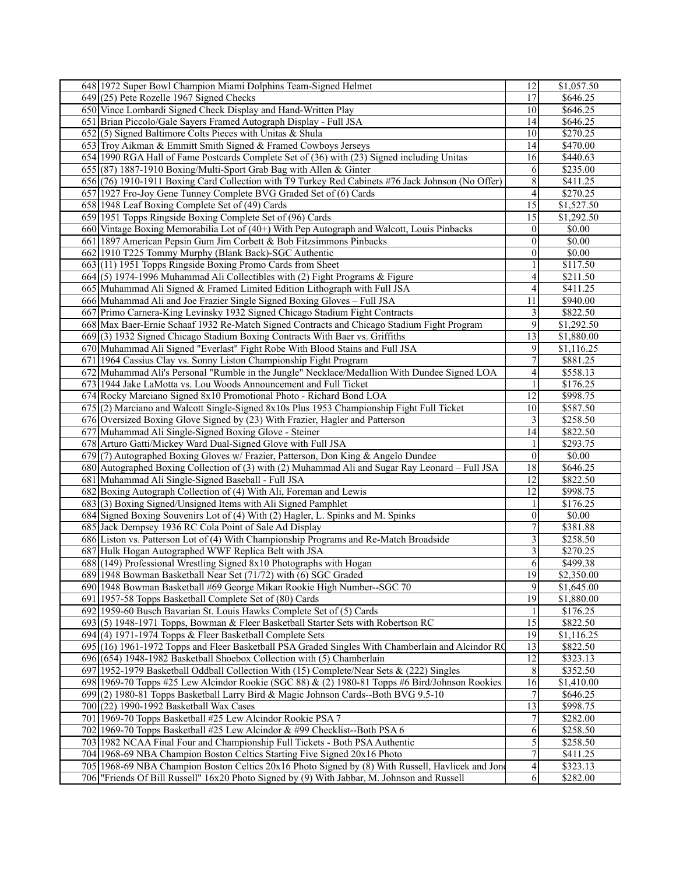| 648 1972 Super Bowl Champion Miami Dolphins Team-Signed Helmet                                    | 12               | \$1,057.50             |
|---------------------------------------------------------------------------------------------------|------------------|------------------------|
| $649(25)$ Pete Rozelle 1967 Signed Checks                                                         | 17               | \$646.25               |
| 650 Vince Lombardi Signed Check Display and Hand-Written Play                                     | 10               | \$646.25               |
| 651 Brian Piccolo/Gale Sayers Framed Autograph Display - Full JSA                                 | 14               | \$646.25               |
| $652(5)$ Signed Baltimore Colts Pieces with Unitas & Shula                                        | 10               | \$270.25               |
| 653 Troy Aikman & Emmitt Smith Signed & Framed Cowboys Jerseys                                    |                  | \$470.00               |
|                                                                                                   | 14               |                        |
| 654 1990 RGA Hall of Fame Postcards Complete Set of (36) with (23) Signed including Unitas        | 16               | \$440.63               |
| 655 (87) 1887-1910 Boxing/Multi-Sport Grab Bag with Allen & Ginter                                | 6                | \$235.00               |
| 656 (76) 1910-1911 Boxing Card Collection with T9 Turkey Red Cabinets #76 Jack Johnson (No Offer) | 8                | \$411.25               |
| 657 1927 Fro-Joy Gene Tunney Complete BVG Graded Set of (6) Cards                                 | 4                | \$270.25               |
| 658 1948 Leaf Boxing Complete Set of (49) Cards                                                   | 15               | \$1,527.50             |
| 659 1951 Topps Ringside Boxing Complete Set of (96) Cards                                         | 15               | \$1,292.50             |
| 660 Vintage Boxing Memorabilia Lot of (40+) With Pep Autograph and Walcott, Louis Pinbacks        | $\boldsymbol{0}$ | $\overline{$}0.00$     |
| 661 1897 American Pepsin Gum Jim Corbett & Bob Fitzsimmons Pinbacks                               | 0                | \$0.00                 |
| 662 1910 T225 Tommy Murphy (Blank Back)-SGC Authentic                                             | 0                | \$0.00                 |
| 663(11) 1951 Topps Ringside Boxing Promo Cards from Sheet                                         |                  | \$117.50               |
| 664(5) 1974-1996 Muhammad Ali Collectibles with (2) Fight Programs & Figure                       | $\overline{4}$   | \$211.50               |
| 665 Muhammad Ali Signed & Framed Limited Edition Lithograph with Full JSA                         | $\overline{4}$   | \$411.25               |
| 666 Muhammad Ali and Joe Frazier Single Signed Boxing Gloves - Full JSA                           | 11               | \$940.00               |
|                                                                                                   |                  |                        |
| 667 Primo Carnera-King Levinsky 1932 Signed Chicago Stadium Fight Contracts                       | 3                | \$822.50               |
| 668 Max Baer-Ernie Schaaf 1932 Re-Match Signed Contracts and Chicago Stadium Fight Program        | 9                | \$1,292.50             |
| 669(3) 1932 Signed Chicago Stadium Boxing Contracts With Baer vs. Griffiths                       | $\overline{13}$  | \$1,880.00             |
| 670 Muhammad Ali Signed "Everlast" Fight Robe With Blood Stains and Full JSA                      | 9                | \$1,116.25             |
| 671 1964 Cassius Clay vs. Sonny Liston Championship Fight Program                                 | 7                | \$881.25               |
| 672 Muhammad Ali's Personal "Rumble in the Jungle" Necklace/Medallion With Dundee Signed LOA      | 4                | \$558.13               |
| 673 1944 Jake LaMotta vs. Lou Woods Announcement and Full Ticket                                  |                  | \$176.25               |
| 674 Rocky Marciano Signed 8x10 Promotional Photo - Richard Bond LOA                               | 12               | \$998.75               |
| 675 (2) Marciano and Walcott Single-Signed 8x10s Plus 1953 Championship Fight Full Ticket         | 10               | \$587.50               |
| 676 Oversized Boxing Glove Signed by (23) With Frazier, Hagler and Patterson                      | 3                | \$258.50               |
| 677 Muhammad Ali Single-Signed Boxing Glove - Steiner                                             | 14               | \$822.50               |
| 678 Arturo Gatti/Mickey Ward Dual-Signed Glove with Full JSA                                      |                  | \$293.75               |
| $679(7)$ Autographed Boxing Gloves w/ Frazier, Patterson, Don King & Angelo Dundee                | $\boldsymbol{0}$ | \$0.00                 |
| 680 Autographed Boxing Collection of (3) with (2) Muhammad Ali and Sugar Ray Leonard – Full JSA   | $\overline{18}$  | \$646.25               |
| 681 Muhammad Ali Single-Signed Baseball - Full JSA                                                | 12               | \$822.50               |
|                                                                                                   | 12               |                        |
| 682 Boxing Autograph Collection of (4) With Ali, Foreman and Lewis                                |                  | \$998.75               |
| 683(3) Boxing Signed/Unsigned Items with Ali Signed Pamphlet                                      |                  | \$176.25               |
| 684 Signed Boxing Souvenirs Lot of (4) With (2) Hagler, L. Spinks and M. Spinks                   | $\theta$         | \$0.00                 |
| 685 Jack Dempsey 1936 RC Cola Point of Sale Ad Display                                            |                  | \$381.88               |
| 686 Liston vs. Patterson Lot of (4) With Championship Programs and Re-Match Broadside             | 3                | \$258.50               |
| 687 Hulk Hogan Autographed WWF Replica Belt with JSA                                              | 3                | \$270.25               |
| 688 (149) Professional Wrestling Signed 8x10 Photographs with Hogan                               | 6                | \$499.38               |
| 689 1948 Bowman Basketball Near Set (71/72) with (6) SGC Graded                                   | 19               | \$2,350.00             |
| 690 1948 Bowman Basketball #69 George Mikan Rookie High Number--SGC 70                            | 9                | \$1,645.00             |
| 691 1957-58 Topps Basketball Complete Set of (80) Cards                                           | 19               | \$1,880.00             |
| 692 1959-60 Busch Bavarian St. Louis Hawks Complete Set of (5) Cards                              |                  | \$176.25               |
| $693(5)$ 1948-1971 Topps, Bowman & Fleer Basketball Starter Sets with Robertson RC                | 15               | \$822.50               |
| 694 (4) 1971-1974 Topps & Fleer Basketball Complete Sets                                          | $\overline{19}$  | $\overline{$1,116.25}$ |
| 695 (16) 1961-1972 Topps and Fleer Basketball PSA Graded Singles With Chamberlain and Alcindor RC | 13               | \$822.50               |
| 696 (654) 1948-1982 Basketball Shoebox Collection with (5) Chamberlain                            | 12               | \$323.13               |
| 697 1952-1979 Basketball Oddball Collection With (15) Complete/Near Sets & (222) Singles          | $\,$ $\,$        | \$352.50               |
|                                                                                                   |                  |                        |
| 698 1969-70 Topps #25 Lew Alcindor Rookie (SGC 88) & (2) 1980-81 Topps #6 Bird/Johnson Rookies    | 16               | \$1,410.00             |
| 699(2) 1980-81 Topps Basketball Larry Bird & Magic Johnson Cards--Both BVG 9.5-10                 | $\overline{7}$   | \$646.25               |
| 700 (22) 1990-1992 Basketball Wax Cases                                                           | 13               | \$998.75               |
| 701 1969-70 Topps Basketball #25 Lew Alcindor Rookie PSA 7                                        | 7                | \$282.00               |
| 702 1969-70 Topps Basketball #25 Lew Alcindor & #99 Checklist--Both PSA 6                         | 6                | \$258.50               |
| 703 1982 NCAA Final Four and Championship Full Tickets - Both PSA Authentic                       | 5                | \$258.50               |
| 704 1968-69 NBA Champion Boston Celtics Starting Five Signed 20x16 Photo                          | $\overline{7}$   | \$411.25               |
| 705 1968-69 NBA Champion Boston Celtics 20x16 Photo Signed by (8) With Russell, Havlicek and Jone | 4                | \$323.13               |
| 706 Friends Of Bill Russell" 16x20 Photo Signed by (9) With Jabbar, M. Johnson and Russell        | 6                | \$282.00               |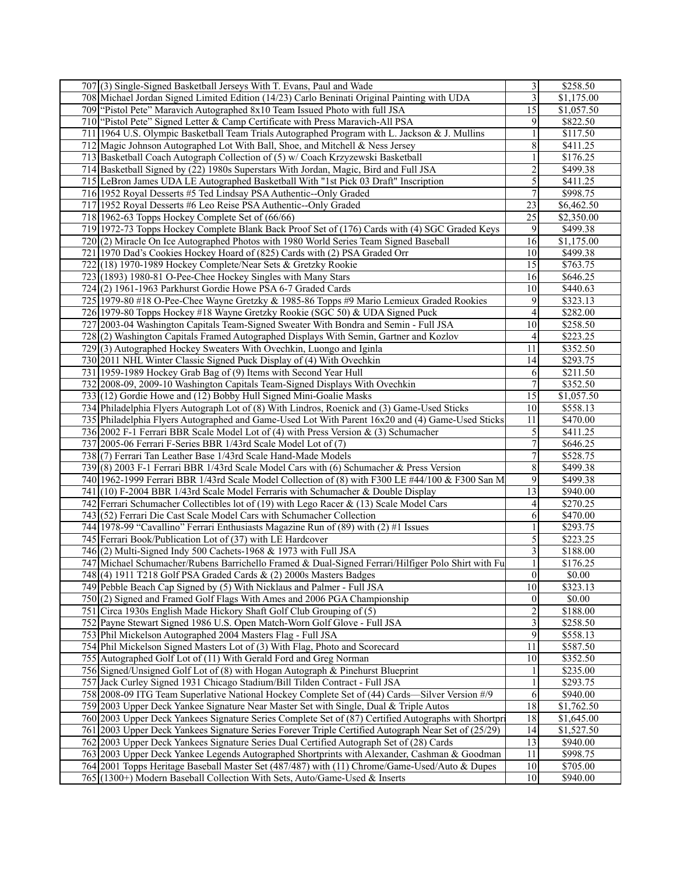| 707(3) Single-Signed Basketball Jerseys With T. Evans, Paul and Wade                                | 3                       | \$258.50   |
|-----------------------------------------------------------------------------------------------------|-------------------------|------------|
| 708 Michael Jordan Signed Limited Edition (14/23) Carlo Beninati Original Painting with UDA         | 3                       | \$1,175.00 |
| 709 "Pistol Pete" Maravich Autographed 8x10 Team Issued Photo with full JSA                         | 15                      | \$1,057.50 |
| 710 "Pistol Pete" Signed Letter & Camp Certificate with Press Maravich-All PSA                      | 9                       | \$822.50   |
| 711 1964 U.S. Olympic Basketball Team Trials Autographed Program with L. Jackson & J. Mullins       |                         | \$117.50   |
| 712 Magic Johnson Autographed Lot With Ball, Shoe, and Mitchell & Ness Jersey                       | 8                       | \$411.25   |
| 713 Basketball Coach Autograph Collection of (5) w/ Coach Krzyzewski Basketball                     | 1                       | \$176.25   |
| 714 Basketball Signed by (22) 1980s Superstars With Jordan, Magic, Bird and Full JSA                | $\overline{c}$          | \$499.38   |
|                                                                                                     |                         |            |
| 715 LeBron James UDA LE Autographed Basketball With "1st Pick 03 Draft" Inscription                 | 5                       | \$411.25   |
| 716 1952 Royal Desserts #5 Ted Lindsay PSA Authentic--Only Graded                                   | 7                       | \$998.75   |
| 717 1952 Royal Desserts #6 Leo Reise PSA Authentic--Only Graded                                     | 23                      | \$6,462.50 |
| 718 1962-63 Topps Hockey Complete Set of (66/66)                                                    | 25                      | \$2,350.00 |
| 719 1972-73 Topps Hockey Complete Blank Back Proof Set of (176) Cards with (4) SGC Graded Keys      | 9                       | \$499.38   |
| 720(2) Miracle On Ice Autographed Photos with 1980 World Series Team Signed Baseball                | 16                      | \$1,175.00 |
| 721 1970 Dad's Cookies Hockey Hoard of (825) Cards with (2) PSA Graded Orr                          | 10                      | \$499.38   |
| 722 (18) 1970-1989 Hockey Complete/Near Sets & Gretzky Rookie                                       | 15                      | \$763.75   |
| 723 (1893) 1980-81 O-Pee-Chee Hockey Singles with Many Stars                                        | 16                      | \$646.25   |
| 724(2) 1961-1963 Parkhurst Gordie Howe PSA 6-7 Graded Cards                                         | 10                      | \$440.63   |
| 725 1979-80 #18 O-Pee-Chee Wayne Gretzky & 1985-86 Topps #9 Mario Lemieux Graded Rookies            | 9                       | \$323.13   |
| 726 1979-80 Topps Hockey #18 Wayne Gretzky Rookie (SGC 50) & UDA Signed Puck                        | 4                       | \$282.00   |
| 727 2003-04 Washington Capitals Team-Signed Sweater With Bondra and Semin - Full JSA                | 10                      | \$258.50   |
| 728(2) Washington Capitals Framed Autographed Displays With Semin, Gartner and Kozlov               | 4                       | \$223.25   |
| 729(3) Autographed Hockey Sweaters With Ovechkin, Luongo and Iginla                                 | 11                      | \$352.50   |
| 730 2011 NHL Winter Classic Signed Puck Display of (4) With Ovechkin                                | 14                      | \$293.75   |
| 731 1959-1989 Hockey Grab Bag of (9) Items with Second Year Hull                                    | 6                       | \$211.50   |
| 732 2008-09, 2009-10 Washington Capitals Team-Signed Displays With Ovechkin                         | 7                       | \$352.50   |
| 733 (12) Gordie Howe and (12) Bobby Hull Signed Mini-Goalie Masks                                   | 15                      | \$1,057.50 |
| 734 Philadelphia Flyers Autograph Lot of (8) With Lindros, Roenick and (3) Game-Used Sticks         | 10                      | \$558.13   |
| 735 Philadelphia Flyers Autographed and Game-Used Lot With Parent 16x20 and (4) Game-Used Sticks    | 11                      | \$470.00   |
| 736 2002 F-1 Ferrari BBR Scale Model Lot of (4) with Press Version $\&$ (3) Schumacher              | 5                       | \$411.25   |
| 737 2005-06 Ferrari F-Series BBR 1/43rd Scale Model Lot of (7)                                      | $\overline{7}$          | \$646.25   |
| 738 (7) Ferrari Tan Leather Base 1/43rd Scale Hand-Made Models                                      | 7                       | \$528.75   |
| 739 (8) 2003 F-1 Ferrari BBR 1/43rd Scale Model Cars with (6) Schumacher & Press Version            | 8                       | \$499.38   |
| 740 1962-1999 Ferrari BBR 1/43rd Scale Model Collection of (8) with F300 LE #44/100 & F300 San M    | 9                       | \$499.38   |
| 741 (10) F-2004 BBR 1/43rd Scale Model Ferraris with Schumacher & Double Display                    | 13                      | \$940.00   |
|                                                                                                     |                         |            |
| 742 Ferrari Schumacher Collectibles lot of (19) with Lego Racer $\&$ (13) Scale Model Cars          | 4                       | \$270.25   |
| 743 (52) Ferrari Die Cast Scale Model Cars with Schumacher Collection                               | 6                       | \$470.00   |
| 744 1978-99 "Cavallino" Ferrari Enthusiasts Magazine Run of (89) with (2) #1 Issues                 |                         | \$293.75   |
| 745 Ferrari Book/Publication Lot of (37) with LE Hardcover                                          | 5                       | \$223.25   |
| 746 $(2)$ Multi-Signed Indy 500 Cachets-1968 & 1973 with Full JSA                                   | 3                       | \$188.00   |
| 747 Michael Schumacher/Rubens Barrichello Framed & Dual-Signed Ferrari/Hilfiger Polo Shirt with Fu  |                         | \$176.25   |
| 748(4) 1911 T218 Golf PSA Graded Cards & (2) 2000s Masters Badges                                   | $\boldsymbol{0}$        | \$0.00     |
| 749 Pebble Beach Cap Signed by (5) With Nicklaus and Palmer - Full JSA                              | 10                      | \$323.13   |
| $750(2)$ Signed and Framed Golf Flags With Ames and 2006 PGA Championship                           | $\boldsymbol{0}$        | \$0.00     |
| 751 Circa 1930s English Made Hickory Shaft Golf Club Grouping of (5)                                | $\overline{\mathbf{c}}$ | \$188.00   |
| 752 Payne Stewart Signed 1986 U.S. Open Match-Worn Golf Glove - Full JSA                            | 3                       | \$258.50   |
| 753 Phil Mickelson Autographed 2004 Masters Flag - Full JSA                                         | $\overline{9}$          | \$558.13   |
| 754 Phil Mickelson Signed Masters Lot of (3) With Flag, Photo and Scorecard                         | 11                      | \$587.50   |
| 755 Autographed Golf Lot of (11) With Gerald Ford and Greg Norman                                   | 10                      | \$352.50   |
| 756 Signed/Unsigned Golf Lot of (8) with Hogan Autograph & Pinehurst Blueprint                      |                         | \$235.00   |
| 757 Jack Curley Signed 1931 Chicago Stadium/Bill Tilden Contract - Full JSA                         |                         | \$293.75   |
| 758 2008-09 ITG Team Superlative National Hockey Complete Set of (44) Cards—Silver Version #/9      | 6                       | \$940.00   |
| 759 2003 Upper Deck Yankee Signature Near Master Set with Single, Dual & Triple Autos               | $\overline{18}$         | \$1,762.50 |
| 760 2003 Upper Deck Yankees Signature Series Complete Set of (87) Certified Autographs with Shortpr | 18                      | \$1,645.00 |
| 761 2003 Upper Deck Yankees Signature Series Forever Triple Certified Autograph Near Set of (25/29) | 14                      | \$1,527.50 |
| 762 2003 Upper Deck Yankees Signature Series Dual Certified Autograph Set of (28) Cards             | 13                      | \$940.00   |
| 763 2003 Upper Deck Yankee Legends Autographed Shortprints with Alexander, Cashman & Goodman        | 11                      | \$998.75   |
| 764 2001 Topps Heritage Baseball Master Set (487/487) with (11) Chrome/Game-Used/Auto & Dupes       | 10                      | \$705.00   |
| 765 (1300+) Modern Baseball Collection With Sets, Auto/Game-Used & Inserts                          | 10                      | \$940.00   |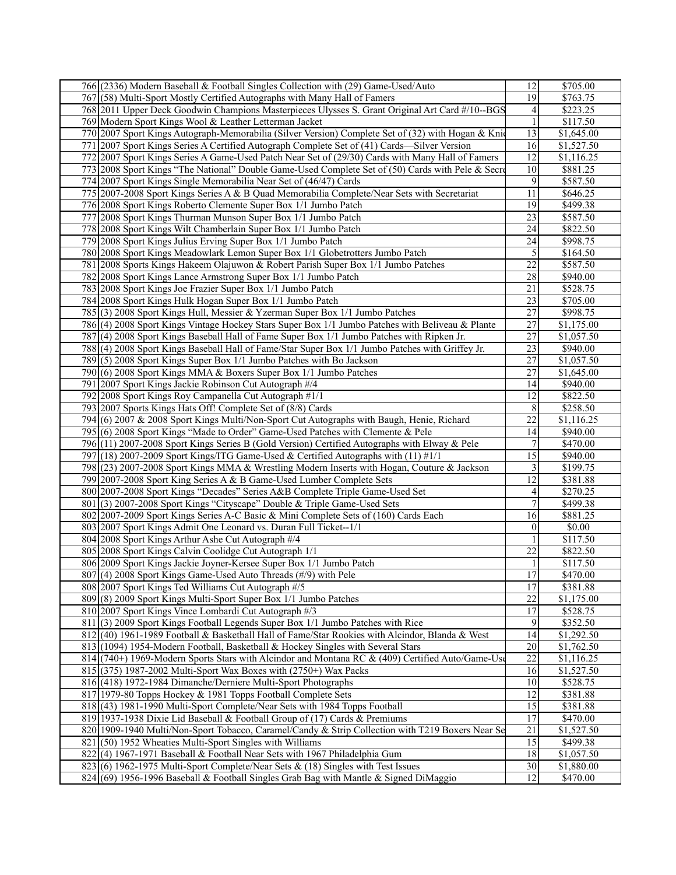| 766 (2336) Modern Baseball & Football Singles Collection with (29) Game-Used/Auto                  | 12               | \$705.00               |
|----------------------------------------------------------------------------------------------------|------------------|------------------------|
| 767 (58) Multi-Sport Mostly Certified Autographs with Many Hall of Famers                          | $\overline{19}$  | \$763.75               |
| 768 2011 Upper Deck Goodwin Champions Masterpieces Ulysses S. Grant Original Art Card #/10--BGS    | 4                | \$223.25               |
| 769 Modern Sport Kings Wool & Leather Letterman Jacket                                             | 1                | \$117.50               |
| 770 2007 Sport Kings Autograph-Memorabilia (Silver Version) Complete Set of (32) with Hogan & Knie | 13               | \$1,645.00             |
|                                                                                                    |                  |                        |
| 771 2007 Sport Kings Series A Certified Autograph Complete Set of (41) Cards—Silver Version        | 16               | \$1,527.50             |
| 772 2007 Sport Kings Series A Game-Used Patch Near Set of (29/30) Cards with Many Hall of Famers   | 12               | \$1,116.25             |
| 773 2008 Sport Kings "The National" Double Game-Used Complete Set of (50) Cards with Pele & Secre  | 10               | \$881.25               |
| 774 2007 Sport Kings Single Memorabilia Near Set of (46/47) Cards                                  | 9                | \$587.50               |
| 775 2007-2008 Sport Kings Series A & B Quad Memorabilia Complete/Near Sets with Secretariat        | 11               | \$646.25               |
| 776 2008 Sport Kings Roberto Clemente Super Box 1/1 Jumbo Patch                                    | 19               | \$499.38               |
| 777 2008 Sport Kings Thurman Munson Super Box 1/1 Jumbo Patch                                      | 23               | \$587.50               |
| 778 2008 Sport Kings Wilt Chamberlain Super Box 1/1 Jumbo Patch                                    | 24               | \$822.50               |
| 779 2008 Sport Kings Julius Erving Super Box 1/1 Jumbo Patch                                       | 24               | \$998.75               |
| 780 2008 Sport Kings Meadowlark Lemon Super Box 1/1 Globetrotters Jumbo Patch                      | 5                | \$164.50               |
| 781 2008 Sports Kings Hakeem Olajuwon & Robert Parish Super Box 1/1 Jumbo Patches                  | 22               | \$587.50               |
|                                                                                                    | 28               |                        |
| 782 2008 Sport Kings Lance Armstrong Super Box 1/1 Jumbo Patch                                     |                  | \$940.00               |
| 783 2008 Sport Kings Joe Frazier Super Box 1/1 Jumbo Patch                                         | 21               | \$528.75               |
| 784 2008 Sport Kings Hulk Hogan Super Box 1/1 Jumbo Patch                                          | 23               | \$705.00               |
| 785 (3) 2008 Sport Kings Hull, Messier & Yzerman Super Box 1/1 Jumbo Patches                       | 27               | \$998.75               |
| 786 (4) 2008 Sport Kings Vintage Hockey Stars Super Box 1/1 Jumbo Patches with Beliveau & Plante   | 27               | \$1,175.00             |
| 787 (4) 2008 Sport Kings Baseball Hall of Fame Super Box 1/1 Jumbo Patches with Ripken Jr.         | 27               | \$1,057.50             |
| 788 (4) 2008 Sport Kings Baseball Hall of Fame/Star Super Box 1/1 Jumbo Patches with Griffey Jr.   | 23               | \$940.00               |
| 789(5) 2008 Sport Kings Super Box 1/1 Jumbo Patches with Bo Jackson                                | 27               | \$1,057.50             |
| 790(6) 2008 Sport Kings MMA & Boxers Super Box 1/1 Jumbo Patches                                   | 27               | \$1,645.00             |
| 791 2007 Sport Kings Jackie Robinson Cut Autograph #/4                                             | 14               | \$940.00               |
| 792 2008 Sport Kings Roy Campanella Cut Autograph #1/1                                             | 12               | \$822.50               |
| 793 2007 Sports Kings Hats Off! Complete Set of (8/8) Cards                                        | 8                | \$258.50               |
| 794 (6) 2007 & 2008 Sport Kings Multi/Non-Sport Cut Autographs with Baugh, Henie, Richard          | 22               | \$1,116.25             |
|                                                                                                    | 14               |                        |
| 795 (6) 2008 Sport Kings "Made to Order" Game-Used Patches with Clemente & Pele                    |                  | \$940.00               |
| 796(11) 2007-2008 Sport Kings Series B (Gold Version) Certified Autographs with Elway & Pele       | $\boldsymbol{7}$ | \$470.00               |
| 797 (18) 2007-2009 Sport Kings/ITG Game-Used & Certified Autographs with $(11)$ #1/1               | $\overline{15}$  | \$940.00               |
| 798 (23) 2007-2008 Sport Kings MMA & Wrestling Modern Inserts with Hogan, Couture & Jackson        | 3                | \$199.75               |
| 799 2007-2008 Sport King Series A & B Game-Used Lumber Complete Sets                               | 12               | \$381.88               |
| 800 2007-2008 Sport Kings "Decades" Series A&B Complete Triple Game-Used Set                       | 4                | \$270.25               |
| 801(3) 2007-2008 Sport Kings "Cityscape" Double & Triple Game-Used Sets                            | $\overline{7}$   | \$499.38               |
| 802 2007-2009 Sport Kings Series A-C Basic & Mini Complete Sets of (160) Cards Each                | 16               | \$881.25               |
| 803 2007 Sport Kings Admit One Leonard vs. Duran Full Ticket--1/1                                  | $\theta$         | \$0.00                 |
| 804 2008 Sport Kings Arthur Ashe Cut Autograph #/4                                                 |                  | \$117.50               |
| 805 2008 Sport Kings Calvin Coolidge Cut Autograph 1/1                                             | 22               | \$822.50               |
| 806 2009 Sport Kings Jackie Joyner-Kersee Super Box 1/1 Jumbo Patch                                |                  | \$117.50               |
| 807 (4) 2008 Sport Kings Game-Used Auto Threads (#/9) with Pele                                    | $\overline{17}$  | \$470.00               |
| 808 2007 Sport Kings Ted Williams Cut Autograph #/5                                                | 17               | \$381.88               |
| 809(8) 2009 Sport Kings Multi-Sport Super Box 1/1 Jumbo Patches                                    | 22               | \$1,175.00             |
| 810 2007 Sport Kings Vince Lombardi Cut Autograph #/3                                              | 17               | \$528.75               |
| 811 (3) 2009 Sport Kings Football Legends Super Box 1/1 Jumbo Patches with Rice                    | 9                | \$352.50               |
|                                                                                                    |                  |                        |
| 812 (40) 1961-1989 Football & Basketball Hall of Fame/Star Rookies with Alcindor, Blanda & West    | 14               | \$1,292.50             |
| 813 (1094) 1954-Modern Football, Basketball & Hockey Singles with Several Stars                    | 20               | \$1,762.50             |
| 814 (740+) 1969-Modern Sports Stars with Alcindor and Montana RC & (409) Certified Auto/Game-Use   | 22               | \$1,116.25             |
| 815 (375) 1987-2002 Multi-Sport Wax Boxes with (2750+) Wax Packs                                   | 16               | \$1,527.50             |
| 816 (418) 1972-1984 Dimanche/Derniere Multi-Sport Photographs                                      | 10               | \$528.75               |
| 817 1979-80 Topps Hockey & 1981 Topps Football Complete Sets                                       | 12               | \$381.88               |
| 818 (43) 1981-1990 Multi-Sport Complete/Near Sets with 1984 Topps Football                         | 15               | \$381.88               |
| 819 1937-1938 Dixie Lid Baseball & Football Group of (17) Cards & Premiums                         | 17               | \$470.00               |
| 820 1909-1940 Multi/Non-Sport Tobacco, Caramel/Candy & Strip Collection with T219 Boxers Near Se   | 21               | \$1,527.50             |
| $821(50)$ 1952 Wheaties Multi-Sport Singles with Williams                                          | 15               | \$499.38               |
| 822 (4) 1967-1971 Baseball & Football Near Sets with 1967 Philadelphia Gum                         | 18               | $\overline{$1,057.50}$ |
| $823$ (6) 1962-1975 Multi-Sport Complete/Near Sets & (18) Singles with Test Issues                 | 30               | \$1,880.00             |
| 824 $(69)$ 1956-1996 Baseball & Football Singles Grab Bag with Mantle & Signed DiMaggio            | 12               | \$470.00               |
|                                                                                                    |                  |                        |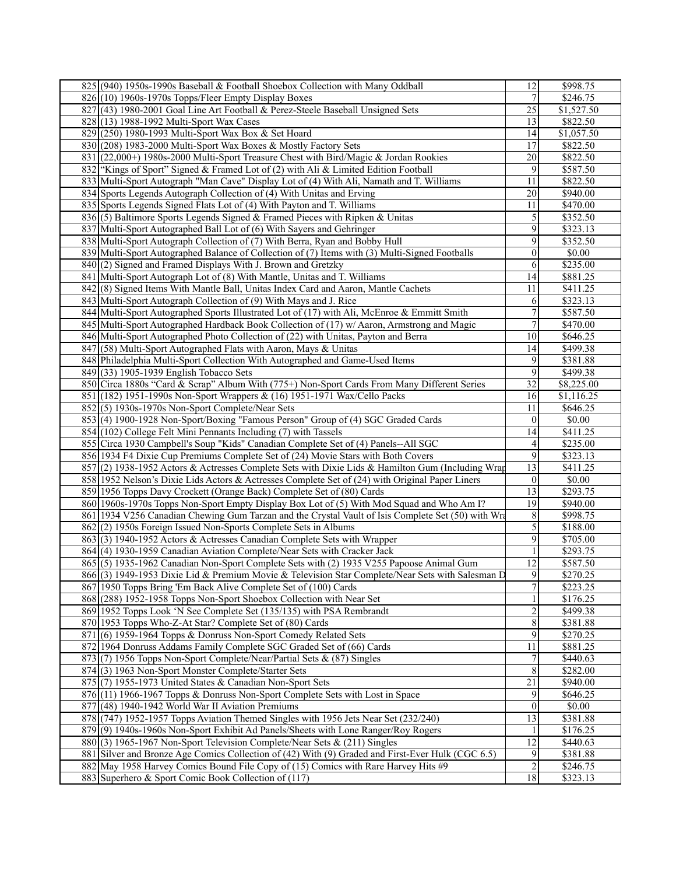| 825 (940) 1950s-1990s Baseball & Football Shoebox Collection with Many Oddball                     | 12               | \$998.75   |
|----------------------------------------------------------------------------------------------------|------------------|------------|
| $826(10)$ 1960s-1970s Topps/Fleer Empty Display Boxes                                              | 7                | \$246.75   |
| 827 (43) 1980-2001 Goal Line Art Football & Perez-Steele Baseball Unsigned Sets                    | 25               | \$1,527.50 |
| 828 (13) 1988-1992 Multi-Sport Wax Cases                                                           | 13               | \$822.50   |
| 829 (250) 1980-1993 Multi-Sport Wax Box & Set Hoard                                                | 14               | \$1,057.50 |
| 830 (208) 1983-2000 Multi-Sport Wax Boxes & Mostly Factory Sets                                    | 17               | \$822.50   |
| 831 (22,000+) 1980s-2000 Multi-Sport Treasure Chest with Bird/Magic & Jordan Rookies               | 20               | \$822.50   |
| 832 "Kings of Sport" Signed & Framed Lot of (2) with Ali & Limited Edition Football                | 9                | \$587.50   |
|                                                                                                    | 11               | \$822.50   |
| 833   Multi-Sport Autograph "Man Cave" Display Lot of (4) With Ali, Namath and T. Williams         | 20               |            |
| 834 Sports Legends Autograph Collection of (4) With Unitas and Erving                              |                  | \$940.00   |
| 835 Sports Legends Signed Flats Lot of (4) With Payton and T. Williams                             | 11               | \$470.00   |
| 836 (5) Baltimore Sports Legends Signed & Framed Pieces with Ripken & Unitas                       | 5                | \$352.50   |
| 837 Multi-Sport Autographed Ball Lot of (6) With Sayers and Gehringer                              | 9                | \$323.13   |
| 838 Multi-Sport Autograph Collection of (7) With Berra, Ryan and Bobby Hull                        | 9                | \$352.50   |
| 839 Multi-Sport Autographed Balance of Collection of (7) Items with (3) Multi-Signed Footballs     | $\mathbf{0}$     | \$0.00     |
| 840(2) Signed and Framed Displays With J. Brown and Gretzky                                        | 6                | \$235.00   |
| 841 Multi-Sport Autograph Lot of (8) With Mantle, Unitas and T. Williams                           | 14               | \$881.25   |
| 842(8) Signed Items With Mantle Ball, Unitas Index Card and Aaron, Mantle Cachets                  | 11               | \$411.25   |
| 843 Multi-Sport Autograph Collection of (9) With Mays and J. Rice                                  | 6                | \$323.13   |
| 844 Multi-Sport Autographed Sports Illustrated Lot of (17) with Ali, McEnroe & Emmitt Smith        | $\boldsymbol{7}$ | \$587.50   |
| 845 Multi-Sport Autographed Hardback Book Collection of (17) w/ Aaron, Armstrong and Magic         | 7                | \$470.00   |
| 846 Multi-Sport Autographed Photo Collection of (22) with Unitas, Payton and Berra                 | 10               | \$646.25   |
| 847 (58) Multi-Sport Autographed Flats with Aaron, Mays & Unitas                                   | 14               | \$499.38   |
| 848 Philadelphia Multi-Sport Collection With Autographed and Game-Used Items                       | 9                | \$381.88   |
| 849(33) 1905-1939 English Tobacco Sets                                                             | 9                | \$499.38   |
| 850 Circa 1880s "Card & Scrap" Album With (775+) Non-Sport Cards From Many Different Series        | 32               | \$8,225.00 |
| 851 (182) 1951-1990s Non-Sport Wrappers & (16) 1951-1971 Wax/Cello Packs                           | 16               | \$1,116.25 |
| $852(5)$ 1930s-1970s Non-Sport Complete/Near Sets                                                  | 11               | \$646.25   |
| 853 (4) 1900-1928 Non-Sport/Boxing "Famous Person" Group of (4) SGC Graded Cards                   | $\overline{0}$   | \$0.00     |
| 854 (102) College Felt Mini Pennants Including (7) with Tassels                                    | 14               | \$411.25   |
| 855 Circa 1930 Campbell's Soup "Kids" Canadian Complete Set of (4) Panels--All SGC                 | 4                | \$235.00   |
| 856 1934 F4 Dixie Cup Premiums Complete Set of (24) Movie Stars with Both Covers                   | 9                | \$323.13   |
| 857[(2) 1938-1952 Actors & Actresses Complete Sets with Dixie Lids & Hamilton Gum (Including Wrap  | 13               | \$411.25   |
| 858 1952 Nelson's Dixie Lids Actors & Actresses Complete Set of (24) with Original Paper Liners    | $\overline{0}$   | \$0.00     |
|                                                                                                    | 13               |            |
| 859 1956 Topps Davy Crockett (Orange Back) Complete Set of (80) Cards                              | 19               | \$293.75   |
| 860 1960s-1970s Topps Non-Sport Empty Display Box Lot of (5) With Mod Squad and Who Am I?          |                  | \$940.00   |
| 861 1934 V256 Canadian Chewing Gum Tarzan and the Crystal Vault of Isis Complete Set (50) with Wra | 8                | \$998.75   |
| 862(2) 1950s Foreign Issued Non-Sports Complete Sets in Albums                                     | 5                | \$188.00   |
| 863(3) 1940-1952 Actors & Actresses Canadian Complete Sets with Wrapper                            | 9                | \$705.00   |
| 864 (4) 1930-1959 Canadian Aviation Complete/Near Sets with Cracker Jack                           |                  | \$293.75   |
| 865(5) 1935-1962 Canadian Non-Sport Complete Sets with (2) 1935 V255 Papoose Animal Gum            | 12               | \$587.50   |
| 866(3) 1949-1953 Dixie Lid & Premium Movie & Television Star Complete/Near Sets with Salesman D    | 9                | \$270.25   |
| 867 1950 Topps Bring 'Em Back Alive Complete Set of (100) Cards                                    | $\overline{7}$   | \$223.25   |
| 868 (288) 1952-1958 Topps Non-Sport Shoebox Collection with Near Set                               |                  | \$176.25   |
| 869 1952 Topps Look 'N See Complete Set (135/135) with PSA Rembrandt                               | $\overline{c}$   | \$499.38   |
| 870 1953 Topps Who-Z-At Star? Complete Set of (80) Cards                                           | 8                | \$381.88   |
| 871(6) 1959-1964 Topps & Donruss Non-Sport Comedy Related Sets                                     | 9                | \$270.25   |
| 872 1964 Donruss Addams Family Complete SGC Graded Set of (66) Cards                               | 11               | \$881.25   |
| 873(7) 1956 Topps Non-Sport Complete/Near/Partial Sets & (87) Singles                              | 7                | \$440.63   |
| 874 (3) 1963 Non-Sport Monster Complete/Starter Sets                                               | 8                | \$282.00   |
| 875(7) 1955-1973 United States & Canadian Non-Sport Sets                                           | 21               | \$940.00   |
| 876 (11) 1966-1967 Topps & Donruss Non-Sport Complete Sets with Lost in Space                      | 9                | \$646.25   |
| $877$ $(48)$ 1940-1942 World War II Aviation Premiums                                              | $\theta$         | \$0.00     |
| 878 (747) 1952-1957 Topps Aviation Themed Singles with 1956 Jets Near Set (232/240)                | 13               | \$381.88   |
| 879(9) 1940s-1960s Non-Sport Exhibit Ad Panels/Sheets with Lone Ranger/Roy Rogers                  |                  | \$176.25   |
| 880(3) 1965-1967 Non-Sport Television Complete/Near Sets & (211) Singles                           | 12               | \$440.63   |
| 881 Silver and Bronze Age Comics Collection of (42) With (9) Graded and First-Ever Hulk (CGC 6.5)  | 9                | \$381.88   |
| 882 May 1958 Harvey Comics Bound File Copy of (15) Comics with Rare Harvey Hits #9                 | 2                | \$246.75   |
| 883 Superhero & Sport Comic Book Collection of (117)                                               | 18               | \$323.13   |
|                                                                                                    |                  |            |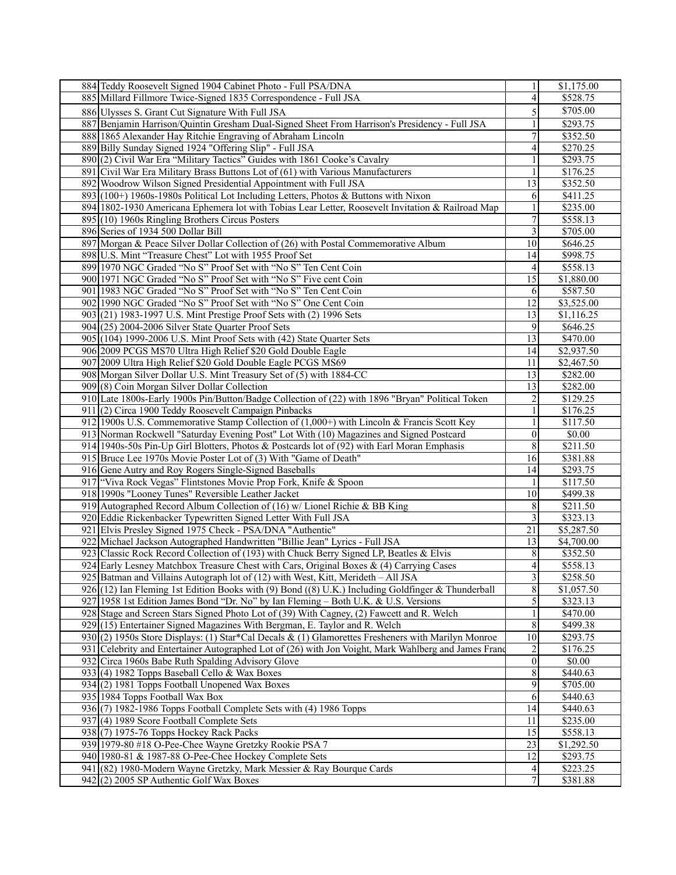| 884 Teddy Roosevelt Signed 1904 Cabinet Photo - Full PSA/DNA                                         | 1               | \$1,175.00       |
|------------------------------------------------------------------------------------------------------|-----------------|------------------|
| 885 Millard Fillmore Twice-Signed 1835 Correspondence - Full JSA                                     | $\overline{4}$  | \$528.75         |
| 886 Ulysses S. Grant Cut Signature With Full JSA                                                     | 5               | \$705.00         |
|                                                                                                      |                 |                  |
| 887 Benjamin Harrison/Quintin Gresham Dual-Signed Sheet From Harrison's Presidency - Full JSA        |                 | \$293.75         |
| 888 1865 Alexander Hay Ritchie Engraving of Abraham Lincoln                                          | 7               | \$352.50         |
| 889 Billy Sunday Signed 1924 "Offering Slip" - Full JSA                                              | 4               | \$270.25         |
| 890(2) Civil War Era "Military Tactics" Guides with 1861 Cooke's Cavalry                             |                 | \$293.75         |
| 891 Civil War Era Military Brass Buttons Lot of (61) with Various Manufacturers                      |                 | \$176.25         |
| 892 Woodrow Wilson Signed Presidential Appointment with Full JSA                                     | 13              | \$352.50         |
| 893 (100+) 1960s-1980s Political Lot Including Letters, Photos & Buttons with Nixon                  | 6               | \$411.25         |
| 894   1802-1930 Americana Ephemera lot with Tobias Lear Letter, Roosevelt Invitation & Railroad Map  | 1               | \$235.00         |
| $895(10)$ 1960s Ringling Brothers Circus Posters                                                     | $\overline{7}$  | \$558.13         |
| 896 Series of 1934 500 Dollar Bill                                                                   | 3               | \$705.00         |
| 897 Morgan & Peace Silver Dollar Collection of (26) with Postal Commemorative Album                  | 10              | \$646.25         |
| 898 U.S. Mint "Treasure Chest" Lot with 1955 Proof Set                                               | 14              | \$998.75         |
| 899 1970 NGC Graded "No S" Proof Set with "No S" Ten Cent Coin                                       | 4               | \$558.13         |
|                                                                                                      | 15              | \$1,880.00       |
| 900 1971 NGC Graded "No S" Proof Set with "No S" Five cent Coin                                      |                 |                  |
| 901 1983 NGC Graded "No S" Proof Set with "No S" Ten Cent Coin                                       | 6               | \$587.50         |
| 902 1990 NGC Graded "No S" Proof Set with "No S" One Cent Coin                                       | 12              | \$3,525.00       |
| 903(21) 1983-1997 U.S. Mint Prestige Proof Sets with (2) 1996 Sets                                   | 13              | \$1,116.25       |
| $904(25)$ 2004-2006 Silver State Quarter Proof Sets                                                  | 9               | \$646.25         |
| 905 (104) 1999-2006 U.S. Mint Proof Sets with (42) State Quarter Sets                                | 13              | \$470.00         |
| 906 2009 PCGS MS70 Ultra High Relief \$20 Gold Double Eagle                                          | 14              | \$2,937.50       |
| 907 2009 Ultra High Relief \$20 Gold Double Eagle PCGS MS69                                          | 11              | \$2,467.50       |
| 908 Morgan Silver Dollar U.S. Mint Treasury Set of (5) with 1884-CC                                  | 13              | \$282.00         |
| 909(8) Coin Morgan Silver Dollar Collection                                                          | 13              | \$282.00         |
| 910 Late 1800s-Early 1900s Pin/Button/Badge Collection of (22) with 1896 "Bryan" Political Token     | $\overline{c}$  | \$129.25         |
| 911 (2) Circa 1900 Teddy Roosevelt Campaign Pinbacks                                                 |                 | \$176.25         |
| 912 1900s U.S. Commemorative Stamp Collection of $(1,000+)$ with Lincoln & Francis Scott Key         |                 | \$117.50         |
| 913 Norman Rockwell "Saturday Evening Post" Lot With (10) Magazines and Signed Postcard              | $\overline{0}$  | \$0.00           |
| 914 1940s-50s Pin-Up Girl Blotters, Photos & Postcards lot of (92) with Earl Moran Emphasis          | 8               | \$211.50         |
| 915 Bruce Lee 1970s Movie Poster Lot of (3) With "Game of Death"                                     | 16              | \$381.88         |
|                                                                                                      |                 |                  |
| 916 Gene Autry and Roy Rogers Single-Signed Baseballs                                                | 14              | \$293.75         |
| 917 "Viva Rock Vegas" Flintstones Movie Prop Fork, Knife & Spoon                                     |                 | \$117.50         |
| 918 1990s "Looney Tunes" Reversible Leather Jacket                                                   | 10              | \$499.38         |
| 919 Autographed Record Album Collection of (16) w/ Lionel Richie & BB King                           | 8               | \$211.50         |
| 920 Eddie Rickenbacker Typewritten Signed Letter With Full JSA                                       | 3               | \$323.13         |
| 921 Elvis Presley Signed 1975 Check - PSA/DNA "Authentic"                                            | 21              | \$5,287.50       |
| 922 Michael Jackson Autographed Handwritten "Billie Jean" Lyrics - Full JSA                          | 13              | \$4,700.00       |
| 923 Classic Rock Record Collection of (193) with Chuck Berry Signed LP, Beatles & Elvis              | 8               | \$352.50         |
| 924 Early Lesney Matchbox Treasure Chest with Cars, Original Boxes & (4) Carrying Cases              | $\overline{4}$  | \$558.13         |
| 925 Batman and Villains Autograph lot of (12) with West, Kitt, Merideth - All JSA                    | $\overline{3}$  | \$258.50         |
| 926 (12) Ian Fleming 1st Edition Books with (9) Bond ((8) U.K.) Including Goldfinger & Thunderball   | $\overline{8}$  | \$1,057.50       |
| 927 1958 1st Edition James Bond "Dr. No" by Ian Fleming - Both U.K. & U.S. Versions                  | 5               | \$323.13         |
| 928 Stage and Screen Stars Signed Photo Lot of (39) With Cagney, (2) Fawcett and R. Welch            |                 | \$470.00         |
| 929 (15) Entertainer Signed Magazines With Bergman, E. Taylor and R. Welch                           | $\,$ $\,$       | \$499.38         |
| 930 (2) 1950s Store Displays: (1) Star*Cal Decals & (1) Glamorettes Fresheners with Marilyn Monroe   | $\overline{10}$ | $\sqrt{$293.75}$ |
| 931 Celebrity and Entertainer Autographed Lot of (26) with Jon Voight, Mark Wahlberg and James Franc | 2               | \$176.25         |
|                                                                                                      | $\mathbf{0}$    | \$0.00           |
| 932 Circa 1960s Babe Ruth Spalding Advisory Glove                                                    |                 |                  |
| 933 (4) 1982 Topps Baseball Cello & Wax Boxes                                                        | 8               | \$440.63         |
| 934 (2) 1981 Topps Football Unopened Wax Boxes                                                       | 9               | \$705.00         |
| 935 1984 Topps Football Wax Box                                                                      | 6               | \$440.63         |
| 936(7) 1982-1986 Topps Football Complete Sets with (4) 1986 Topps                                    | 14              | \$440.63         |
| 937 (4) 1989 Score Football Complete Sets                                                            | 11              | \$235.00         |
| $938(7)$ 1975-76 Topps Hockey Rack Packs                                                             | 15              | \$558.13         |
| 939 1979-80 #18 O-Pee-Chee Wayne Gretzky Rookie PSA 7                                                | 23              | \$1,292.50       |
| 940 1980-81 & 1987-88 O-Pee-Chee Hockey Complete Sets                                                | 12              | \$293.75         |
| 941 (82) 1980-Modern Wayne Gretzky, Mark Messier & Ray Bourque Cards                                 | 4               | \$223.25         |
| 942 (2) 2005 SP Authentic Golf Wax Boxes                                                             | 7               | \$381.88         |
|                                                                                                      |                 |                  |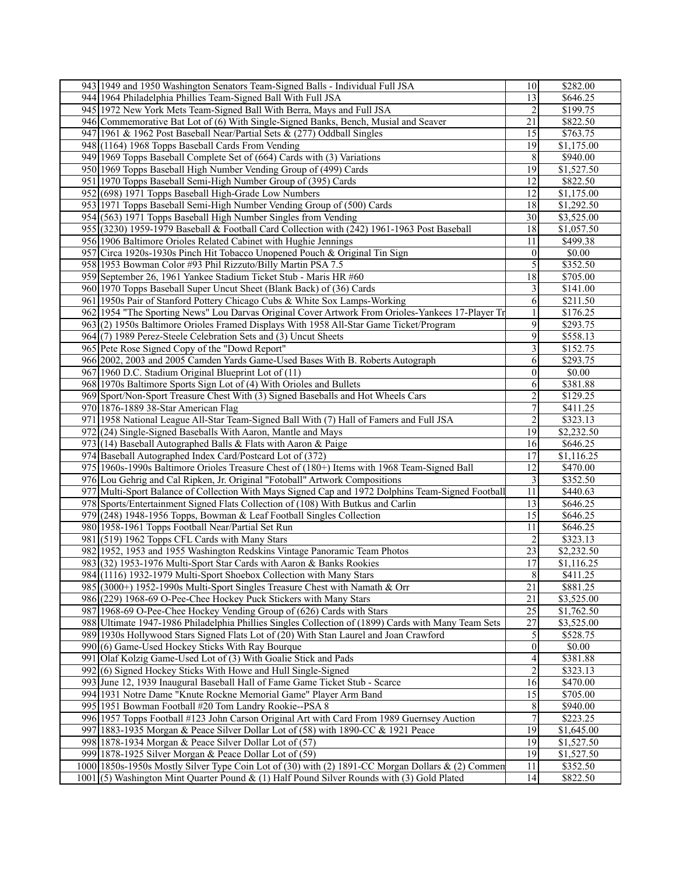| 943 1949 and 1950 Washington Senators Team-Signed Balls - Individual Full JSA                       | 10               | \$282.00   |
|-----------------------------------------------------------------------------------------------------|------------------|------------|
| 944 1964 Philadelphia Phillies Team-Signed Ball With Full JSA                                       | 13               | \$646.25   |
| 945 1972 New York Mets Team-Signed Ball With Berra, Mays and Full JSA                               | 2                | \$199.75   |
| 946 Commemorative Bat Lot of (6) With Single-Signed Banks, Bench, Musial and Seaver                 | 21               | \$822.50   |
| 947 1961 & 1962 Post Baseball Near/Partial Sets & (277) Oddball Singles                             | 15               | \$763.75   |
| 948 (1164) 1968 Topps Baseball Cards From Vending                                                   | 19               | \$1,175.00 |
|                                                                                                     | 8                | \$940.00   |
| 949 1969 Topps Baseball Complete Set of (664) Cards with (3) Variations                             |                  |            |
| 950 1969 Topps Baseball High Number Vending Group of (499) Cards                                    | 19               | \$1,527.50 |
| 951 1970 Topps Baseball Semi-High Number Group of (395) Cards                                       | 12               | \$822.50   |
| 952 (698) 1971 Topps Baseball High-Grade Low Numbers                                                | 12               | \$1,175.00 |
| 953 1971 Topps Baseball Semi-High Number Vending Group of (500) Cards                               | 18               | \$1,292.50 |
| 954 (563) 1971 Topps Baseball High Number Singles from Vending                                      | 30               | \$3,525.00 |
| 955 (3230) 1959-1979 Baseball & Football Card Collection with (242) 1961-1963 Post Baseball         | 18               | \$1,057.50 |
| 956 1906 Baltimore Orioles Related Cabinet with Hughie Jennings                                     | 11               | \$499.38   |
| 957 Circa 1920s-1930s Pinch Hit Tobacco Unopened Pouch & Original Tin Sign                          | $\boldsymbol{0}$ | \$0.00     |
| 958 1953 Bowman Color #93 Phil Rizzuto/Billy Martin PSA 7.5                                         | 5                | \$352.50   |
| 959 September 26, 1961 Yankee Stadium Ticket Stub - Maris HR #60                                    | 18               | \$705.00   |
| 960 1970 Topps Baseball Super Uncut Sheet (Blank Back) of (36) Cards                                | 3                | \$141.00   |
| 961 1950s Pair of Stanford Pottery Chicago Cubs & White Sox Lamps-Working                           | 6                | \$211.50   |
|                                                                                                     |                  |            |
| 962 1954 "The Sporting News" Lou Darvas Original Cover Artwork From Orioles-Yankees 17-Player Tr    |                  | \$176.25   |
| 963 (2) 1950s Baltimore Orioles Framed Displays With 1958 All-Star Game Ticket/Program              | 9                | \$293.75   |
| 964(7) 1989 Perez-Steele Celebration Sets and (3) Uncut Sheets                                      | 9                | \$558.13   |
| 965 Pete Rose Signed Copy of the "Dowd Report"                                                      | 3                | \$152.75   |
| 966 2002, 2003 and 2005 Camden Yards Game-Used Bases With B. Roberts Autograph                      | 6                | \$293.75   |
| 967 1960 D.C. Stadium Original Blueprint Lot of (11)                                                | $\boldsymbol{0}$ | \$0.00     |
| 968 1970s Baltimore Sports Sign Lot of (4) With Orioles and Bullets                                 | 6                | \$381.88   |
| 969 Sport/Non-Sport Treasure Chest With (3) Signed Baseballs and Hot Wheels Cars                    | $\overline{2}$   | \$129.25   |
| 970 1876-1889 38-Star American Flag                                                                 | 7                | \$411.25   |
| 971 1958 National League All-Star Team-Signed Ball With (7) Hall of Famers and Full JSA             | 2                | \$323.13   |
| 972 (24) Single-Signed Baseballs With Aaron, Mantle and Mays                                        | 19               | \$2,232.50 |
| 973 (14) Baseball Autographed Balls & Flats with Aaron & Paige                                      | 16               | \$646.25   |
| 974 Baseball Autographed Index Card/Postcard Lot of (372)                                           | 17               | \$1,116.25 |
| 975 1960s-1990s Baltimore Orioles Treasure Chest of (180+) Items with 1968 Team-Signed Ball         | 12               | \$470.00   |
| 976 Lou Gehrig and Cal Ripken, Jr. Original "Fotoball" Artwork Compositions                         | 3                | \$352.50   |
| 977 Multi-Sport Balance of Collection With Mays Signed Cap and 1972 Dolphins Team-Signed Football   | 11               | \$440.63   |
|                                                                                                     |                  |            |
| 978 Sports/Entertainment Signed Flats Collection of (108) With Butkus and Carlin                    | 13               | \$646.25   |
| 979 (248) 1948-1956 Topps, Bowman & Leaf Football Singles Collection                                | 15               | \$646.25   |
| 980 1958-1961 Topps Football Near/Partial Set Run                                                   | 11               | \$646.25   |
| 981 (519) 1962 Topps CFL Cards with Many Stars                                                      | 2                | \$323.13   |
| 982 1952, 1953 and 1955 Washington Redskins Vintage Panoramic Team Photos                           | 23               | \$2,232.50 |
| 983 (32) 1953-1976 Multi-Sport Star Cards with Aaron & Banks Rookies                                | 17               | \$1,116.25 |
| 984 (1116) 1932-1979 Multi-Sport Shoebox Collection with Many Stars                                 | $\,$ $\,$        | \$411.25   |
| 985 (3000+) 1952-1990s Multi-Sport Singles Treasure Chest with Namath & Orr                         | 21               | \$881.25   |
| 986 (229) 1968-69 O-Pee-Chee Hockey Puck Stickers with Many Stars                                   | 21               | \$3,525.00 |
| 987 1968-69 O-Pee-Chee Hockey Vending Group of (626) Cards with Stars                               | 25               | \$1,762.50 |
| 988 Ultimate 1947-1986 Philadelphia Phillies Singles Collection of (1899) Cards with Many Team Sets | 27               | \$3,525.00 |
| 989 1930s Hollywood Stars Signed Flats Lot of (20) With Stan Laurel and Joan Crawford               | 5                | \$528.75   |
| 990 (6) Game-Used Hockey Sticks With Ray Bourque                                                    | $\boldsymbol{0}$ | \$0.00     |
| 991 Olaf Kolzig Game-Used Lot of (3) With Goalie Stick and Pads                                     | 4                | \$381.88   |
| 992(6) Signed Hockey Sticks With Howe and Hull Single-Signed                                        | $\overline{c}$   | \$323.13   |
| 993 June 12, 1939 Inaugural Baseball Hall of Fame Game Ticket Stub - Scarce                         | 16               | \$470.00   |
| 994 1931 Notre Dame "Knute Rockne Memorial Game" Player Arm Band                                    | 15               | \$705.00   |
|                                                                                                     |                  |            |
| 995 1951 Bowman Football #20 Tom Landry Rookie--PSA 8                                               | 8                | \$940.00   |
| 996 1957 Topps Football #123 John Carson Original Art with Card From 1989 Guernsey Auction          | 7                | \$223.25   |
| 997 1883-1935 Morgan & Peace Silver Dollar Lot of (58) with 1890-CC & 1921 Peace                    | 19               | \$1,645.00 |
| 998 1878-1934 Morgan & Peace Silver Dollar Lot of (57)                                              | 19               | \$1,527.50 |
| 999   1878-1925 Silver Morgan & Peace Dollar Lot of (59)                                            | 19               | \$1,527.50 |
| 1000 1850s-1950s Mostly Silver Type Coin Lot of (30) with (2) 1891-CC Morgan Dollars & (2) Commen   | 11               | \$352.50   |
| $1001$ (5) Washington Mint Quarter Pound & (1) Half Pound Silver Rounds with (3) Gold Plated        | 14               | \$822.50   |